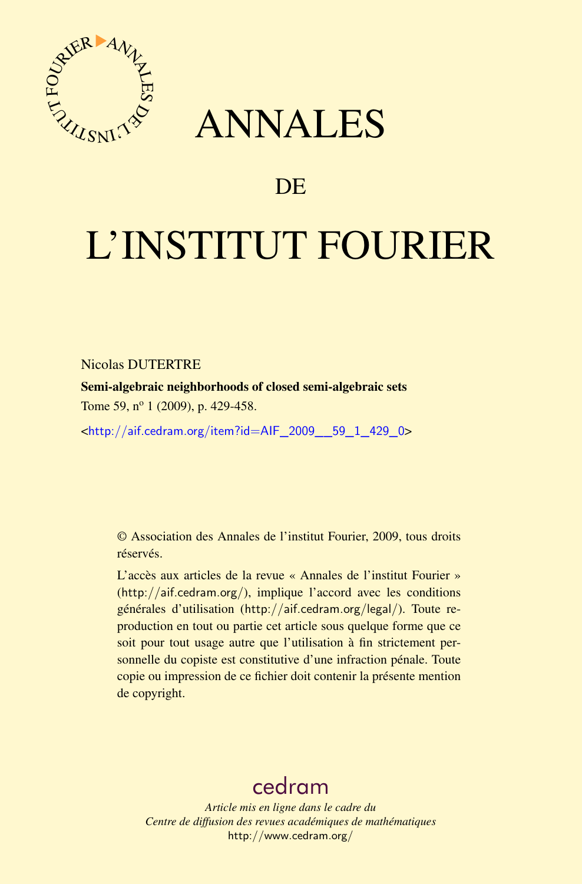

## ANNALES

## **DE**

# L'INSTITUT FOURIER

Nicolas DUTERTRE

Semi-algebraic neighborhoods of closed semi-algebraic sets Tome 59, n<sup>o</sup> 1 (2009), p. 429-458.

<[http://aif.cedram.org/item?id=AIF\\_2009\\_\\_59\\_1\\_429\\_0](http://aif.cedram.org/item?id=AIF_2009__59_1_429_0)>

© Association des Annales de l'institut Fourier, 2009, tous droits réservés.

L'accès aux articles de la revue « Annales de l'institut Fourier » (<http://aif.cedram.org/>), implique l'accord avec les conditions générales d'utilisation (<http://aif.cedram.org/legal/>). Toute reproduction en tout ou partie cet article sous quelque forme que ce soit pour tout usage autre que l'utilisation à fin strictement personnelle du copiste est constitutive d'une infraction pénale. Toute copie ou impression de ce fichier doit contenir la présente mention de copyright.

## [cedram](http://www.cedram.org/)

*Article mis en ligne dans le cadre du Centre de diffusion des revues académiques de mathématiques* <http://www.cedram.org/>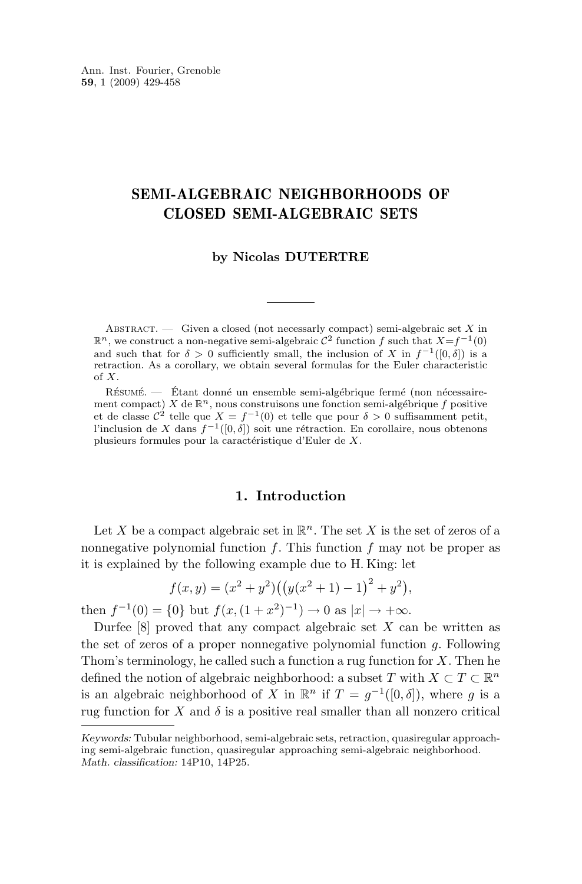#### SEMI-ALGEBRAIC NEIGHBORHOODS OF CLOSED SEMI-ALGEBRAIC SETS

#### **by Nicolas DUTERTRE**

ABSTRACT. — Given a closed (not necessarly compact) semi-algebraic set  $X$  in  $\mathbb{R}^n$ , we construct a non-negative semi-algebraic  $\mathcal{C}^2$  function f such that  $X=f^{-1}(0)$ and such that for  $\delta > 0$  sufficiently small, the inclusion of X in  $f^{-1}([0,\delta])$  is a retraction. As a corollary, we obtain several formulas for the Euler characteristic of X.

Résumé. — Étant donné un ensemble semi-algébrique fermé (non nécessairement compact) X de  $\mathbb{R}^n$ , nous construisons une fonction semi-algébrique f positive et de classe  $\mathcal{C}^2$  telle que  $X = f^{-1}(0)$  et telle que pour  $\delta > 0$  suffisamment petit, l'inclusion de X dans  $f^{-1}([0, δ])$  soit une rétraction. En corollaire, nous obtenons plusieurs formules pour la caractéristique d'Euler de X.

#### **1. Introduction**

Let X be a compact algebraic set in  $\mathbb{R}^n$ . The set X is the set of zeros of a nonnegative polynomial function  $f$ . This function  $f$  may not be proper as it is explained by the following example due to H. King: let

$$
f(x,y) = (x^{2} + y^{2})((y(x^{2} + 1) - 1)^{2} + y^{2}),
$$

then  $f^{-1}(0) = \{0\}$  but  $f(x, (1+x^2)^{-1}) \to 0$  as  $|x| \to +\infty$ .

Durfee  $[8]$  proved that any compact algebraic set X can be written as the set of zeros of a proper nonnegative polynomial function  $q$ . Following Thom's terminology, he called such a function a rug function for  $X$ . Then he defined the notion of algebraic neighborhood: a subset T with  $X \subset T \subset \mathbb{R}^n$ is an algebraic neighborhood of X in  $\mathbb{R}^n$  if  $T = g^{-1}([0, \delta])$ , where g is a rug function for X and  $\delta$  is a positive real smaller than all nonzero critical

*Keywords:* Tubular neighborhood, semi-algebraic sets, retraction, quasiregular approaching semi-algebraic function, quasiregular approaching semi-algebraic neighborhood. *Math. classification:* 14P10, 14P25.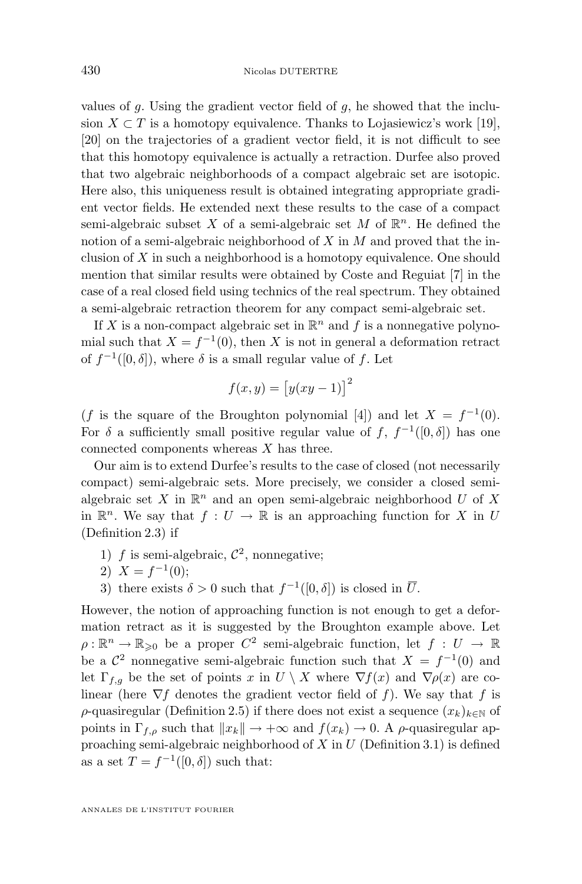values of q. Using the gradient vector field of q, he showed that the inclusion  $X \subset T$  is a homotopy equivalence. Thanks to Lojasiewicz's work [\[19\]](#page-30-0), [\[20\]](#page-30-0) on the trajectories of a gradient vector field, it is not difficult to see that this homotopy equivalence is actually a retraction. Durfee also proved that two algebraic neighborhoods of a compact algebraic set are isotopic. Here also, this uniqueness result is obtained integrating appropriate gradient vector fields. He extended next these results to the case of a compact semi-algebraic subset X of a semi-algebraic set M of  $\mathbb{R}^n$ . He defined the notion of a semi-algebraic neighborhood of  $X$  in  $M$  and proved that the inclusion of  $X$  in such a neighborhood is a homotopy equivalence. One should mention that similar results were obtained by Coste and Reguiat [\[7\]](#page-30-0) in the case of a real closed field using technics of the real spectrum. They obtained a semi-algebraic retraction theorem for any compact semi-algebraic set.

If X is a non-compact algebraic set in  $\mathbb{R}^n$  and f is a nonnegative polynomial such that  $X = f^{-1}(0)$ , then X is not in general a deformation retract of  $f^{-1}([0,\delta])$ , where  $\delta$  is a small regular value of f. Let

$$
f(x,y) = [y(xy-1)]^2
$$

(f is the square of the Broughton polynomial [\[4\]](#page-29-0)) and let  $X = f^{-1}(0)$ . For  $\delta$  a sufficiently small positive regular value of f,  $f^{-1}([0,\delta])$  has one connected components whereas X has three.

Our aim is to extend Durfee's results to the case of closed (not necessarily compact) semi-algebraic sets. More precisely, we consider a closed semialgebraic set X in  $\mathbb{R}^n$  and an open semi-algebraic neighborhood U of X in  $\mathbb{R}^n$ . We say that  $f: U \to \mathbb{R}$  is an approaching function for X in U (Definition [2.3\)](#page-6-0) if

- 1) f is semi-algebraic,  $\mathcal{C}^2$ , nonnegative;
- 2)  $X = f^{-1}(0);$
- 3) there exists  $\delta > 0$  such that  $f^{-1}([0, \delta])$  is closed in  $\overline{U}$ .

However, the notion of approaching function is not enough to get a deformation retract as it is suggested by the Broughton example above. Let  $\rho: \mathbb{R}^n \to \mathbb{R}_{\geqslant 0}$  be a proper  $C^2$  semi-algebraic function, let  $f: U \to \mathbb{R}$ be a  $\mathcal{C}^2$  nonnegative semi-algebraic function such that  $X = f^{-1}(0)$  and let  $\Gamma_{f,g}$  be the set of points x in  $U \setminus X$  where  $\nabla f(x)$  and  $\nabla \rho(x)$  are colinear (here  $\nabla f$  denotes the gradient vector field of f). We say that f is  $\rho$ -quasiregular (Definition [2.5\)](#page-7-0) if there does not exist a sequence  $(x_k)_{k\in\mathbb{N}}$  of points in  $\Gamma_{f,\rho}$  such that  $||x_k|| \to +\infty$  and  $f(x_k) \to 0$ . A  $\rho$ -quasiregular approaching semi-algebraic neighborhood of  $X$  in  $U$  (Definition [3.1\)](#page-8-0) is defined as a set  $T = f^{-1}([0, \delta])$  such that: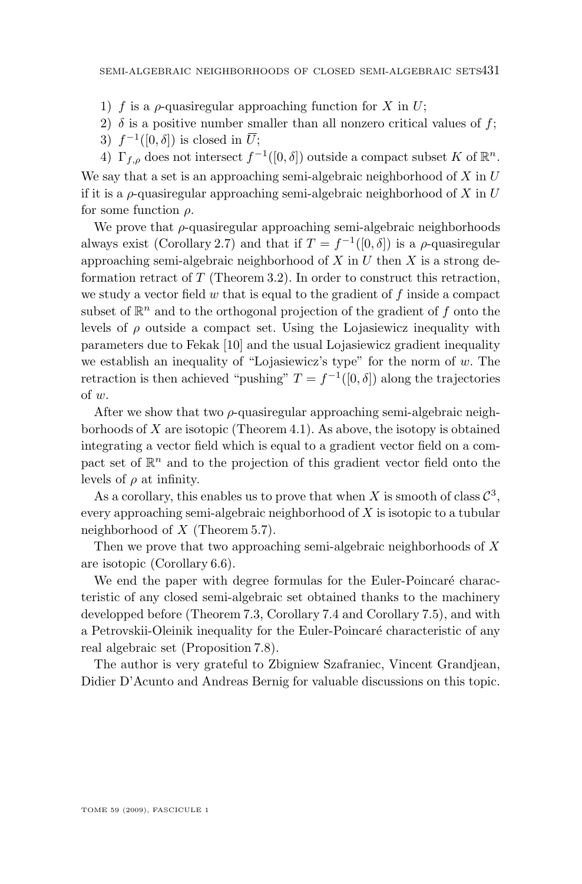- 1) f is a  $\rho$ -quasiregular approaching function for X in U;
- 2)  $\delta$  is a positive number smaller than all nonzero critical values of f;
- 3)  $f^{-1}([0,\delta])$  is closed in  $\overline{U}$ ;

4)  $\Gamma_{f,\rho}$  does not intersect  $f^{-1}([0,\delta])$  outside a compact subset K of  $\mathbb{R}^n$ . We say that a set is an approaching semi-algebraic neighborhood of  $X$  in  $U$ if it is a  $\rho$ -quasiregular approaching semi-algebraic neighborhood of X in U for some function  $\rho$ .

We prove that  $\rho$ -quasiregular approaching semi-algebraic neighborhoods always exist (Corollary [2.7\)](#page-7-0) and that if  $T = f^{-1}([0, \delta])$  is a  $\rho$ -quasiregular approaching semi-algebraic neighborhood of  $X$  in  $U$  then  $X$  is a strong deformation retract of  $T$  (Theorem [3.2\)](#page-8-0). In order to construct this retraction, we study a vector field  $w$  that is equal to the gradient of  $f$  inside a compact subset of  $\mathbb{R}^n$  and to the orthogonal projection of the gradient of f onto the levels of  $\rho$  outside a compact set. Using the Lojasiewicz inequality with parameters due to Fekak [\[10\]](#page-30-0) and the usual Lojasiewicz gradient inequality we establish an inequality of "Lojasiewicz's type" for the norm of  $w$ . The retraction is then achieved "pushing"  $T = f^{-1}([0, \delta])$  along the trajectories of w.

After we show that two  $\rho$ -quasiregular approaching semi-algebraic neighborhoods of  $X$  are isotopic (Theorem [4.1\)](#page-12-0). As above, the isotopy is obtained integrating a vector field which is equal to a gradient vector field on a compact set of  $\mathbb{R}^n$  and to the projection of this gradient vector field onto the levels of  $\rho$  at infinity.

As a corollary, this enables us to prove that when X is smooth of class  $\mathcal{C}^3$ , every approaching semi-algebraic neighborhood of X is isotopic to a tubular neighborhood of  $X$  (Theorem [5.7\)](#page-19-0).

Then we prove that two approaching semi-algebraic neighborhoods of X are isotopic (Corollary [6.6\)](#page-24-0).

We end the paper with degree formulas for the Euler-Poincaré characteristic of any closed semi-algebraic set obtained thanks to the machinery developped before (Theorem [7.3,](#page-26-0) Corollary [7.4](#page-26-0) and Corollary [7.5\)](#page-27-0), and with a Petrovskii-Oleinik inequality for the Euler-Poincaré characteristic of any real algebraic set (Proposition [7.8\)](#page-29-0).

The author is very grateful to Zbigniew Szafraniec, Vincent Grandjean, Didier D'Acunto and Andreas Bernig for valuable discussions on this topic.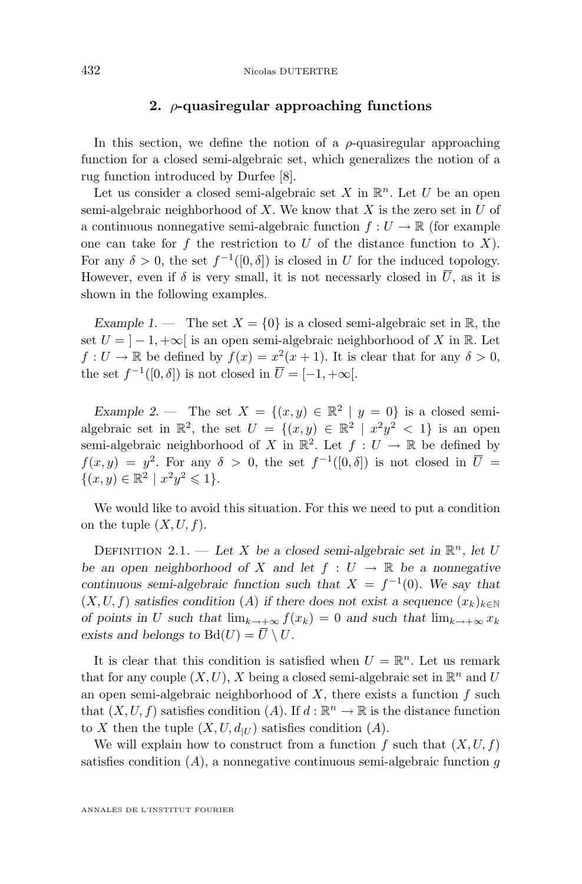#### **2.** ρ**-quasiregular approaching functions**

In this section, we define the notion of a  $\rho$ -quasiregular approaching function for a closed semi-algebraic set, which generalizes the notion of a rug function introduced by Durfee [\[8\]](#page-30-0).

Let us consider a closed semi-algebraic set X in  $\mathbb{R}^n$ . Let U be an open semi-algebraic neighborhood of  $X$ . We know that  $X$  is the zero set in  $U$  of a continuous nonnegative semi-algebraic function  $f: U \to \mathbb{R}$  (for example one can take for f the restriction to U of the distance function to X). For any  $\delta > 0$ , the set  $f^{-1}([0, \delta])$  is closed in U for the induced topology. However, even if  $\delta$  is very small, it is not necessarly closed in  $\overline{U}$ , as it is shown in the following examples.

*Example 1.* — The set  $X = \{0\}$  is a closed semi-algebraic set in R, the set  $U = \vert -1, +\infty \vert$  is an open semi-algebraic neighborhood of X in R. Let  $f: U \to \mathbb{R}$  be defined by  $f(x) = x^2(x+1)$ . It is clear that for any  $\delta > 0$ , the set  $f^{-1}([0,\delta])$  is not closed in  $\overline{U} = [-1, +\infty[$ .

*Example 2.* — The set  $X = \{(x, y) \in \mathbb{R}^2 \mid y = 0\}$  is a closed semialgebraic set in  $\mathbb{R}^2$ , the set  $U = \{(x, y) \in \mathbb{R}^2 \mid x^2y^2 < 1\}$  is an open semi-algebraic neighborhood of X in  $\mathbb{R}^2$ . Let  $f: U \to \mathbb{R}$  be defined by  $f(x,y) = y^2$ . For any  $\delta > 0$ , the set  $f^{-1}([0,\delta])$  is not closed in  $\overline{U} =$  $\{(x, y) \in \mathbb{R}^2 \mid x^2y^2 \leq 1\}.$ 

We would like to avoid this situation. For this we need to put a condition on the tuple  $(X, U, f)$ .

DEFINITION 2.1. — Let X be a closed semi-algebraic set in  $\mathbb{R}^n$ , let U *be an open neighborhood of* X and let  $f : U \to \mathbb{R}$  be a nonnegative *continuous semi-algebraic function such that*  $X = f^{-1}(0)$ *. We say that*  $(X, U, f)$  *satisfies condition* (A) *if there does not exist a sequence*  $(x_k)_{k \in \mathbb{N}}$ *of points in* U *such that*  $\lim_{k\to+\infty} f(x_k) = 0$  *and such that*  $\lim_{k\to+\infty} x_k$ exists and belongs to  $Bd(U) = \overline{U} \setminus U$ .

It is clear that this condition is satisfied when  $U = \mathbb{R}^n$ . Let us remark that for any couple  $(X, U)$ , X being a closed semi-algebraic set in  $\mathbb{R}^n$  and U an open semi-algebraic neighborhood of  $X$ , there exists a function  $f$  such that  $(X, U, f)$  satisfies condition  $(A)$ . If  $d : \mathbb{R}^n \to \mathbb{R}$  is the distance function to X then the tuple  $(X, U, d_{|U})$  satisfies condition  $(A)$ .

We will explain how to construct from a function f such that  $(X, U, f)$ satisfies condition  $(A)$ , a nonnegative continuous semi-algebraic function g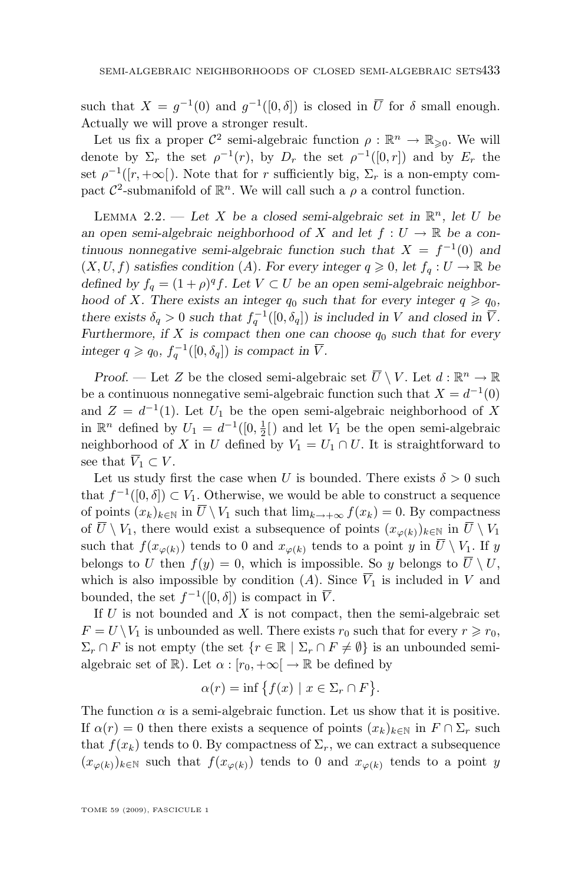<span id="page-5-0"></span>such that  $X = g^{-1}(0)$  and  $g^{-1}([0, \delta])$  is closed in  $\overline{U}$  for  $\delta$  small enough. Actually we will prove a stronger result.

Let us fix a proper  $\mathcal{C}^2$  semi-algebraic function  $\rho : \mathbb{R}^n \to \mathbb{R}_{\geqslant 0}$ . We will denote by  $\Sigma_r$  the set  $\rho^{-1}(r)$ , by  $D_r$  the set  $\rho^{-1}([0,r])$  and by  $E_r$  the set  $\rho^{-1}([r, +\infty])$ . Note that for r sufficiently big,  $\Sigma_r$  is a non-empty compact  $\mathcal{C}^2$ -submanifold of  $\mathbb{R}^n$ . We will call such a  $\rho$  a control function.

LEMMA 2.2. — Let X be a closed semi-algebraic set in  $\mathbb{R}^n$ , let U be *an open semi-algebraic neighborhood of* X and let  $f: U \to \mathbb{R}$  be a con*tinuous nonnegative semi-algebraic function such that*  $X = f^{-1}(0)$  *and*  $(X, U, f)$  *satisfies condition*  $(A)$ *. For every integer*  $q \ge 0$ *, let*  $f_q : U \to \mathbb{R}$  *be defined by*  $f_q = (1 + \rho)^q f$ . Let  $V \subset U$  *be an open semi-algebraic neighborhood of X.* There exists an integer  $q_0$  such that for every integer  $q \geq q_0$ , *there exists*  $\delta_q > 0$  *such that*  $f_q^{-1}([0, \delta_q])$  *is included in* V *and closed in*  $\overline{V}$ *. Furthermore, if*  $X$  *is compact then one can choose*  $q_0$  *such that for every integer*  $q \geqslant q_0$ ,  $f_q^{-1}([0, \delta_q])$  *is compact in*  $\overline{V}$ *.* 

*Proof.* — Let Z be the closed semi-algebraic set  $\overline{U} \setminus V$ . Let  $d : \mathbb{R}^n \to \mathbb{R}$ be a continuous nonnegative semi-algebraic function such that  $X = d^{-1}(0)$ and  $Z = d^{-1}(1)$ . Let  $U_1$  be the open semi-algebraic neighborhood of X in  $\mathbb{R}^n$  defined by  $U_1 = d^{-1}([0, \frac{1}{2}])$  and let  $V_1$  be the open semi-algebraic neighborhood of X in U defined by  $V_1 = U_1 \cap U$ . It is straightforward to see that  $\overline{V}_1 \subset V$ .

Let us study first the case when U is bounded. There exists  $\delta > 0$  such that  $f^{-1}([0, \delta]) \subset V_1$ . Otherwise, we would be able to construct a sequence of points  $(x_k)_{k\in\mathbb{N}}$  in  $\overline{U} \setminus V_1$  such that  $\lim_{k\to+\infty} f(x_k) = 0$ . By compactness of  $\overline{U} \setminus V_1$ , there would exist a subsequence of points  $(x_{\varphi(k)})_{k\in\mathbb{N}}$  in  $\overline{U} \setminus V_1$ such that  $f(x_{\varphi(k)})$  tends to 0 and  $x_{\varphi(k)}$  tends to a point y in  $\overline{U} \setminus V_1$ . If y belongs to U then  $f(y) = 0$ , which is impossible. So y belongs to  $\overline{U} \setminus U$ , which is also impossible by condition (A). Since  $\overline{V}_1$  is included in V and bounded, the set  $f^{-1}([0,\delta])$  is compact in  $\overline{V}$ .

If  $U$  is not bounded and  $X$  is not compact, then the semi-algebraic set  $F = U \setminus V_1$  is unbounded as well. There exists  $r_0$  such that for every  $r \geq r_0$ ,  $\Sigma_r \cap F$  is not empty (the set  $\{r \in \mathbb{R} \mid \Sigma_r \cap F \neq \emptyset\}$  is an unbounded semialgebraic set of  $\mathbb{R}$ ). Let  $\alpha : [r_0, +\infty] \to \mathbb{R}$  be defined by

$$
\alpha(r) = \inf \{ f(x) \mid x \in \Sigma_r \cap F \}.
$$

The function  $\alpha$  is a semi-algebraic function. Let us show that it is positive. If  $\alpha(r) = 0$  then there exists a sequence of points  $(x_k)_{k \in \mathbb{N}}$  in  $F \cap \Sigma_r$  such that  $f(x_k)$  tends to 0. By compactness of  $\Sigma_r$ , we can extract a subsequence  $(x_{\varphi(k)})_{k\in\mathbb{N}}$  such that  $f(x_{\varphi(k)})$  tends to 0 and  $x_{\varphi(k)}$  tends to a point y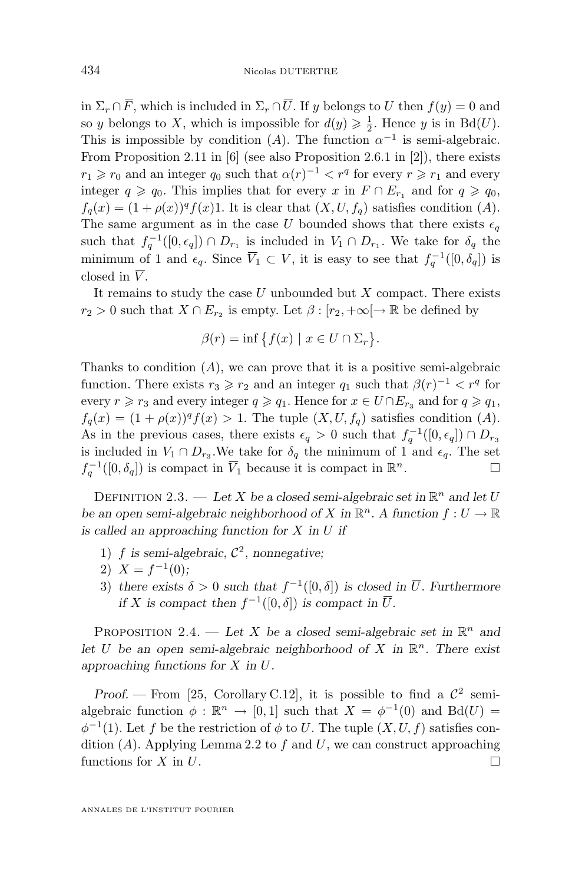<span id="page-6-0"></span>in  $\Sigma_r \cap \overline{F}$ , which is included in  $\Sigma_r \cap \overline{U}$ . If y belongs to U then  $f(y) = 0$  and so y belongs to X, which is impossible for  $d(y) \geq \frac{1}{2}$ . Hence y is in Bd(U). This is impossible by condition (A). The function  $\alpha^{-1}$  is semi-algebraic. From Proposition 2.11 in [\[6\]](#page-29-0) (see also Proposition 2.6.1 in [\[2\]](#page-29-0)), there exists  $r_1 \geq r_0$  and an integer  $q_0$  such that  $\alpha(r)^{-1} < r^q$  for every  $r \geq r_1$  and every integer  $q \geqslant q_0$ . This implies that for every x in  $F \cap E_{r_1}$  and for  $q \geqslant q_0$ ,  $f_q(x) = (1 + \rho(x))^q f(x)$ . It is clear that  $(X, U, f_q)$  satisfies condition  $(A)$ . The same argument as in the case U bounded shows that there exists  $\epsilon_q$ such that  $f_q^{-1}([0, \epsilon_q]) \cap D_{r_1}$  is included in  $V_1 \cap D_{r_1}$ . We take for  $\delta_q$  the minimum of 1 and  $\epsilon_q$ . Since  $\overline{V}_1 \subset V$ , it is easy to see that  $f_q^{-1}([0, \delta_q])$  is closed in  $\overline{V}$ .

It remains to study the case  $U$  unbounded but  $X$  compact. There exists  $r_2 > 0$  such that  $X \cap E_{r_2}$  is empty. Let  $\beta : [r_2, +\infty[ \rightarrow \mathbb{R}$  be defined by

$$
\beta(r) = \inf \{ f(x) \mid x \in U \cap \Sigma_r \}.
$$

Thanks to condition  $(A)$ , we can prove that it is a positive semi-algebraic function. There exists  $r_3 \ge r_2$  and an integer  $q_1$  such that  $\beta(r)^{-1} < r^q$  for every  $r \ge r_3$  and every integer  $q \ge q_1$ . Hence for  $x \in U \cap E_{r_3}$  and for  $q \ge q_1$ ,  $f_q(x) = (1 + \rho(x))^q f(x) > 1$ . The tuple  $(X, U, f_q)$  satisfies condition  $(A)$ . As in the previous cases, there exists  $\epsilon_q > 0$  such that  $f_q^{-1}([0, \epsilon_q]) \cap D_{r_3}$ is included in  $V_1 \cap D_{r_3}$ . We take for  $\delta_q$  the minimum of 1 and  $\epsilon_q$ . The set  $f_q^{-1}([0, \delta_q])$  is compact in  $\overline{V}_1$  because it is compact in  $\mathbb R$  $n$ .

DEFINITION 2.3. — Let X be a closed semi-algebraic set in  $\mathbb{R}^n$  and let U *be an open semi-algebraic neighborhood of* X in  $\mathbb{R}^n$ . A function  $f: U \to \mathbb{R}$ *is called an approaching function for* X *in* U *if*

- 1)  $f$  is semi-algebraic,  $\mathcal{C}^2$ , nonnegative;
- 2)  $X = f^{-1}(0);$
- 3) there exists  $\delta > 0$  such that  $f^{-1}([0, \delta])$  is closed in  $\overline{U}$ . Furthermore *if* X is compact then  $f^{-1}([0, \delta])$  *is compact in*  $\overline{U}$ *.*

PROPOSITION 2.4. — Let X be a closed semi-algebraic set in  $\mathbb{R}^n$  and let U be an open semi-algebraic neighborhood of X in  $\mathbb{R}^n$ . There exist *approaching functions for* X *in* U*.*

*Proof.* — From [\[25,](#page-30-0) Corollary C.12], it is possible to find a  $\mathcal{C}^2$  semialgebraic function  $\phi : \mathbb{R}^n \to [0,1]$  such that  $X = \phi^{-1}(0)$  and  $Bd(U) =$  $\phi^{-1}(1)$ . Let f be the restriction of  $\phi$  to U. The tuple  $(X, U, f)$  satisfies condition  $(A)$ . Applying Lemma [2.2](#page-5-0) to f and U, we can construct approaching functions for  $X$  in  $U$ .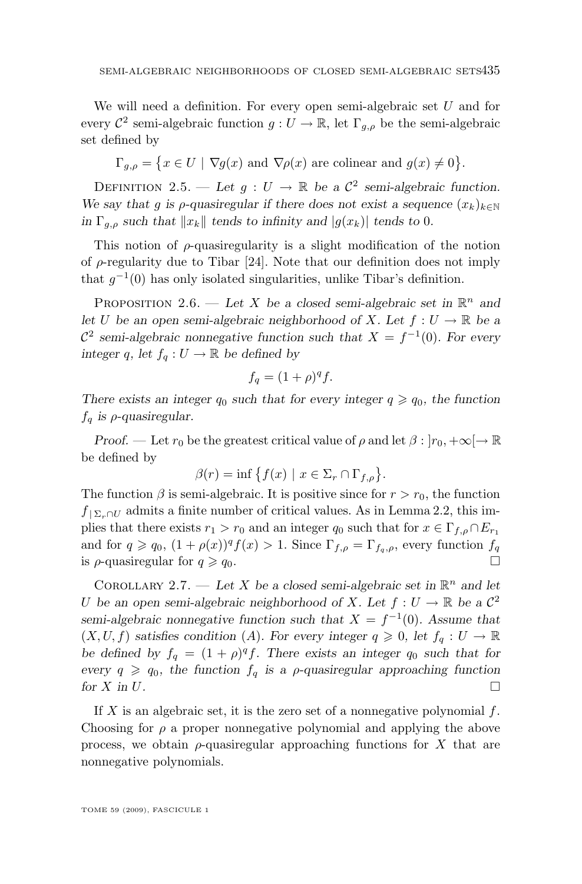<span id="page-7-0"></span>We will need a definition. For every open semi-algebraic set U and for every  $\mathcal{C}^2$  semi-algebraic function  $g: U \to \mathbb{R}$ , let  $\Gamma_{g,\rho}$  be the semi-algebraic set defined by

 $\Gamma_{g,\rho} = \{x \in U \mid \nabla g(x) \text{ and } \nabla \rho(x) \text{ are colinear and } g(x) \neq 0\}.$ 

DEFINITION 2.5. — Let  $g: U \to \mathbb{R}$  be a  $\mathcal{C}^2$  semi-algebraic function. *We say that* g *is*  $\rho$ -quasiregular if there does not exist a sequence  $(x_k)_{k \in \mathbb{N}}$ *in*  $\Gamma_{g,\rho}$  *such that*  $||x_k||$  *tends to infinity and*  $|g(x_k)|$  *tends to* 0*.* 

This notion of  $\rho$ -quasiregularity is a slight modification of the notion of  $\rho$ -regularity due to Tibar [\[24\]](#page-30-0). Note that our definition does not imply that  $g^{-1}(0)$  has only isolated singularities, unlike Tibar's definition.

PROPOSITION 2.6. — Let X be a closed semi-algebraic set in  $\mathbb{R}^n$  and *let* U be an open semi-algebraic neighborhood of X. Let  $f: U \to \mathbb{R}$  be a  $\mathcal{C}^2$  semi-algebraic nonnegative function such that  $X = f^{-1}(0)$ . For every *integer* q, let  $f_q: U \to \mathbb{R}$  be defined by

$$
f_q = (1+\rho)^q f.
$$

*There exists an integer*  $q_0$  *such that for every integer*  $q \geq q_0$ *, the function*  $f_q$  *is*  $\rho$ *-quasiregular.* 

*Proof.* — Let  $r_0$  be the greatest critical value of  $\rho$  and let  $\beta : |r_0, +\infty| \to \mathbb{R}$ be defined by

$$
\beta(r) = \inf \left\{ f(x) \mid x \in \Sigma_r \cap \Gamma_{f,\rho} \right\}.
$$

The function  $\beta$  is semi-algebraic. It is positive since for  $r > r_0$ , the function  $f_{\vert \Sigma_r \cap U}$  admits a finite number of critical values. As in Lemma [2.2,](#page-5-0) this implies that there exists  $r_1 > r_0$  and an integer  $q_0$  such that for  $x \in \Gamma_{f,\rho} \cap E_{r_1}$ and for  $q \geq q_0$ ,  $(1 + \rho(x))^q f(x) > 1$ . Since  $\Gamma_{f,\rho} = \Gamma_{f_q,\rho}$ , every function  $f_q$ is  $\rho$ -quasiregular for  $q \geqslant q_0$ .

COROLLARY 2.7. — Let X be a closed semi-algebraic set in  $\mathbb{R}^n$  and let U be an open semi-algebraic neighborhood of X. Let  $f: U \to \mathbb{R}$  be a  $\mathcal{C}^2$ *semi-algebraic nonnegative function such that*  $X = f^{-1}(0)$ *. Assume that*  $(X, U, f)$  *satisfies condition* (A). For every integer  $q \geq 0$ , let  $f_q : U \to \mathbb{R}$ be defined by  $f_q = (1 + \rho)^q f$ . There exists an integer  $q_0$  such that for *every*  $q \geq q_0$ , the function  $f_q$  is a *ρ*-quasiregular approaching function *for*  $X$  *in*  $U$ *.*  $\Box$ 

If X is an algebraic set, it is the zero set of a nonnegative polynomial  $f$ . Choosing for  $\rho$  a proper nonnegative polynomial and applying the above process, we obtain  $\rho$ -quasiregular approaching functions for X that are nonnegative polynomials.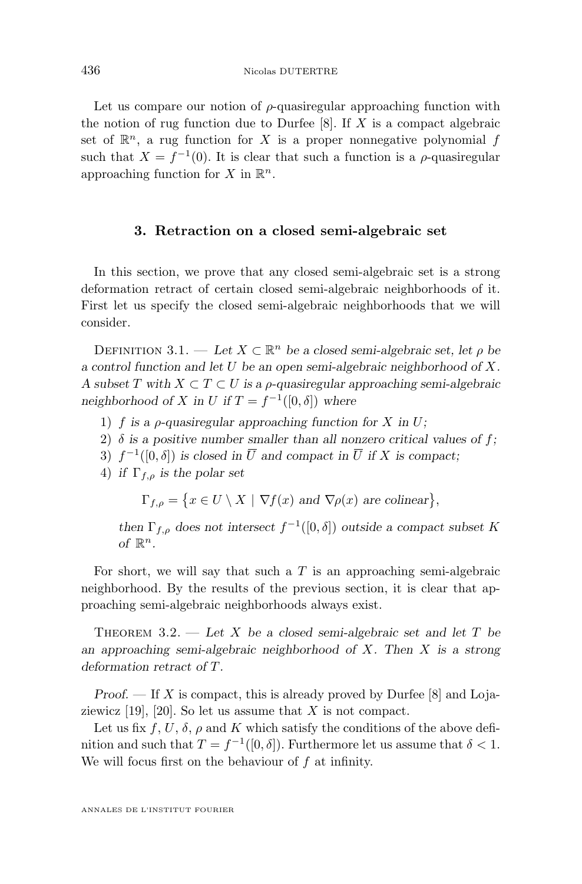<span id="page-8-0"></span>Let us compare our notion of  $\rho$ -quasiregular approaching function with the notion of rug function due to Durfee  $[8]$ . If X is a compact algebraic set of  $\mathbb{R}^n$ , a rug function for X is a proper nonnegative polynomial f such that  $X = f^{-1}(0)$ . It is clear that such a function is a  $\rho$ -quasiregular approaching function for X in  $\mathbb{R}^n$ .

#### **3. Retraction on a closed semi-algebraic set**

In this section, we prove that any closed semi-algebraic set is a strong deformation retract of certain closed semi-algebraic neighborhoods of it. First let us specify the closed semi-algebraic neighborhoods that we will consider.

DEFINITION 3.1. — Let  $X \subset \mathbb{R}^n$  be a closed semi-algebraic set, let  $\rho$  be *a control function and let* U *be an open semi-algebraic neighborhood of* X*. A subset* T *with* X ⊂ T ⊂ U *is a* ρ*-quasiregular approaching semi-algebraic* neighborhood of X in U if  $T = f^{-1}([0, \delta])$  where

- 1) f *is a* ρ*-quasiregular approaching function for* X *in* U*;*
- 2)  $\delta$  *is a positive number smaller than all nonzero critical values of f;*
- 3)  $f^{-1}([0, \delta])$  is closed in  $\overline{U}$  and compact in  $\overline{U}$  if X is compact;
- 4) *if*  $\Gamma_{f,\rho}$  *is the polar set*

 $\Gamma_{f,\rho} = \{x \in U \setminus X \mid \nabla f(x) \text{ and } \nabla \rho(x) \text{ are colinear}\},\$ 

*then*  $\Gamma_{f,\rho}$  *does not intersect*  $f^{-1}([0,\delta])$  *outside a compact subset* K of  $\mathbb{R}^n$ .

For short, we will say that such a  $T$  is an approaching semi-algebraic neighborhood. By the results of the previous section, it is clear that approaching semi-algebraic neighborhoods always exist.

Theorem 3.2. — *Let* X *be a closed semi-algebraic set and let* T *be an approaching semi-algebraic neighborhood of* X*. Then* X *is a strong deformation retract of* T*.*

*Proof.* — If X is compact, this is already proved by Durfee [\[8\]](#page-30-0) and Lojaziewicz  $[19]$ ,  $[20]$ . So let us assume that X is not compact.

Let us fix f, U,  $\delta$ ,  $\rho$  and K which satisfy the conditions of the above definition and such that  $T = f^{-1}([0, \delta])$ . Furthermore let us assume that  $\delta < 1$ . We will focus first on the behaviour of  $f$  at infinity.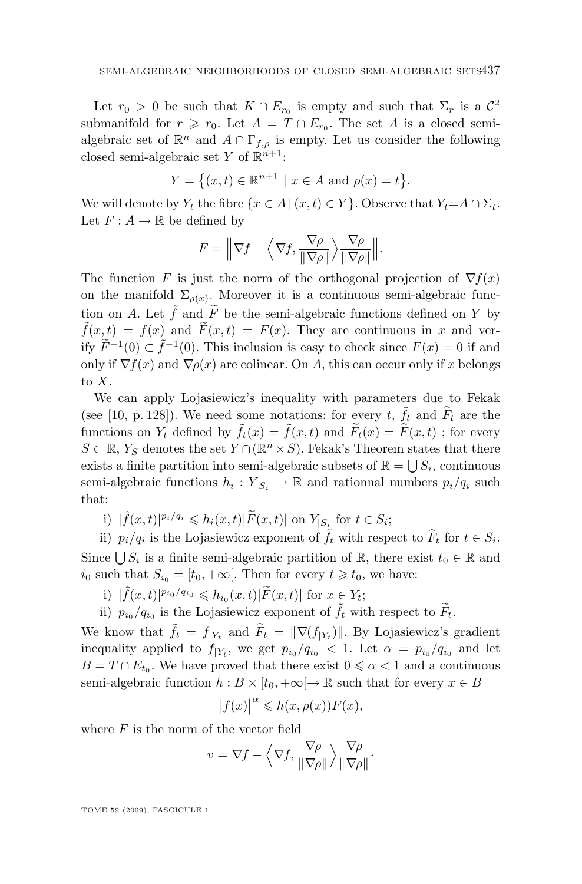Let  $r_0 > 0$  be such that  $K \cap E_{r_0}$  is empty and such that  $\Sigma_r$  is a  $\mathcal{C}^2$ submanifold for  $r \ge r_0$ . Let  $A = T \cap E_{r_0}$ . The set A is a closed semialgebraic set of  $\mathbb{R}^n$  and  $A \cap \Gamma_{f,\rho}$  is empty. Let us consider the following closed semi-algebraic set Y of  $\mathbb{R}^{n+1}$ :

$$
Y = \{(x, t) \in \mathbb{R}^{n+1} \mid x \in A \text{ and } \rho(x) = t\}.
$$

We will denote by  $Y_t$  the fibre  $\{x \in A \mid (x, t) \in Y\}$ . Observe that  $Y_t = A \cap \Sigma_t$ . Let  $F: A \to \mathbb{R}$  be defined by

$$
F = \left\| \nabla f - \left\langle \nabla f, \frac{\nabla \rho}{\|\nabla \rho\|} \right\rangle \frac{\nabla \rho}{\|\nabla \rho\|} \right\|.
$$

The function F is just the norm of the orthogonal projection of  $\nabla f(x)$ on the manifold  $\Sigma_{\rho(x)}$ . Moreover it is a continuous semi-algebraic function on A. Let  $\tilde{f}$  and  $\tilde{F}$  be the semi-algebraic functions defined on Y by  $ilde{f}(x,t) = f(x)$  and  $ilde{F}(x,t) = F(x)$ . They are continuous in x and verify  $\widetilde{F}^{-1}(0) \subset \widetilde{f}^{-1}(0)$ . This inclusion is easy to check since  $F(x) = 0$  if and only if  $\nabla f(x)$  and  $\nabla \rho(x)$  are colinear. On A, this can occur only if x belongs to X.

We can apply Lojasiewicz's inequality with parameters due to Fekak (see [\[10,](#page-30-0) p. 128]). We need some notations: for every t,  $\tilde{f}_t$  and  $\tilde{F}_t$  are the functions on  $Y_t$  defined by  $\tilde{f}_t(x) = \tilde{f}(x,t)$  and  $\tilde{F}_t(x) = \tilde{F}(x,t)$ ; for every  $S \subset \mathbb{R}$ , Y<sub>S</sub> denotes the set  $Y \cap (\mathbb{R}^n \times S)$ . Fekak's Theorem states that there exists a finite partition into semi-algebraic subsets of  $\mathbb{R} = \bigcup S_i$ , continuous semi-algebraic functions  $h_i: Y_{|S_i} \to \mathbb{R}$  and rationnal numbers  $p_i/q_i$  such that:

i)  $|\tilde{f}(x,t)|^{p_i/q_i} \leqslant h_i(x,t)|\tilde{F}(x,t)|$  on  $Y_{|S_i}$  for  $t \in S_i$ ;

ii)  $p_i/q_i$  is the Lojasiewicz exponent of  $\tilde{f}_t$  with respect to  $\tilde{F}_t$  for  $t \in S_i$ . Since  $\bigcup S_i$  is a finite semi-algebraic partition of  $\mathbb{R}$ , there exist  $t_0 \in \mathbb{R}$  and  $i_0$  such that  $S_{i_0} = [t_0, +\infty]$ . Then for every  $t \geq t_0$ , we have:

- i)  $|\tilde{f}(x,t)|^{p_{i_0}/q_{i_0}} \leqslant h_{i_0}(x,t)|\tilde{F}(x,t)|$  for  $x \in Y_t$ ;
- ii)  $p_{i_0}/q_{i_0}$  is the Lojasiewicz exponent of  $\tilde{f}_t$  with respect to  $\tilde{F}_t$ .

We know that  $\tilde{f}_t = f_{|Y_t}$  and  $\tilde{F}_t = ||\nabla(f_{|Y_t})||$ . By Lojasiewicz's gradient inequality applied to  $f_{|Y_t}$ , we get  $p_{i_0}/q_{i_0} < 1$ . Let  $\alpha = p_{i_0}/q_{i_0}$  and let  $B = T \cap E_{t_0}$ . We have proved that there exist  $0 \le \alpha < 1$  and a continuous semi-algebraic function  $h : B \times [t_0, +\infty] \to \mathbb{R}$  such that for every  $x \in B$ 

$$
\left|f(x)\right|^{\alpha} \leqslant h(x,\rho(x))F(x),
$$

where  $F$  is the norm of the vector field

$$
v = \nabla f - \left\langle \nabla f, \frac{\nabla \rho}{\|\nabla \rho\|} \right\rangle \frac{\nabla \rho}{\|\nabla \rho\|}.
$$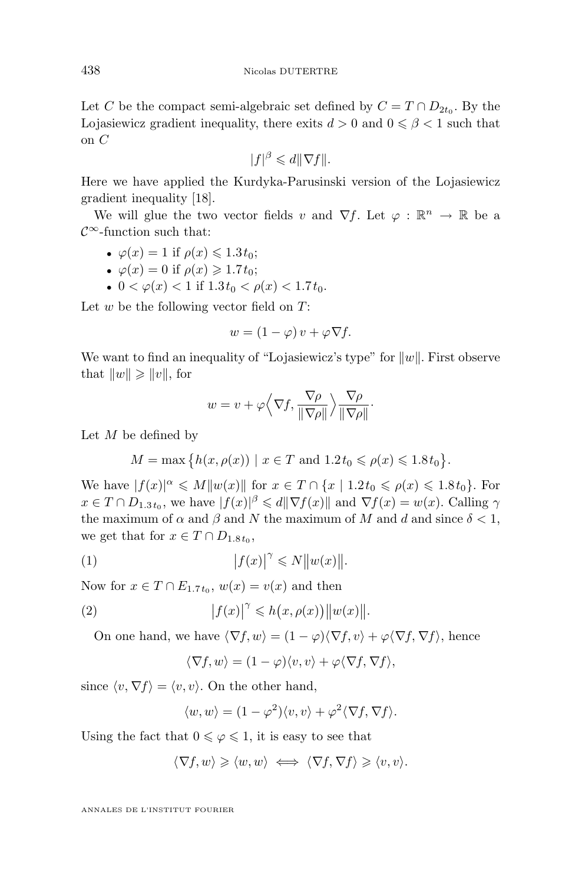Let C be the compact semi-algebraic set defined by  $C = T \cap D_{2t_0}$ . By the Lojasiewicz gradient inequality, there exits  $d > 0$  and  $0 \le \beta < 1$  such that on C

$$
|f|^{\beta} \leq d \|\nabla f\|.
$$

Here we have applied the Kurdyka-Parusinski version of the Lojasiewicz gradient inequality [\[18\]](#page-30-0).

We will glue the two vector fields v and  $\nabla f$ . Let  $\varphi : \mathbb{R}^n \to \mathbb{R}$  be a  $\mathcal{C}^{\infty}$ -function such that:

• 
$$
\varphi(x) = 1
$$
 if  $\rho(x) \leq 1.3 t_0$ ;

• 
$$
\varphi(x) = 0
$$
 if  $\rho(x) \ge 1.7 t_0$ ;

•  $0 < \varphi(x) < 1$  if  $1.3t_0 < \varphi(x) < 1.7t_0$ .

Let  $w$  be the following vector field on  $T$ :

$$
w = (1 - \varphi)v + \varphi \nabla f.
$$

We want to find an inequality of "Lojasiewicz's type" for  $||w||$ . First observe that  $||w|| \ge ||v||$ , for

$$
w = v + \varphi \left\langle \nabla f, \frac{\nabla \rho}{\|\nabla \rho\|} \right\rangle \frac{\nabla \rho}{\|\nabla \rho\|}.
$$

Let  $M$  be defined by

 $M = \max \{ h(x, \rho(x)) \mid x \in T \text{ and } 1.2t_0 \leq \rho(x) \leq 1.8t_0 \}.$ 

We have  $|f(x)|^{\alpha} \leq M||w(x)||$  for  $x \in T \cap \{x \mid 1.2t_0 \leq \rho(x) \leq 1.8t_0\}$ . For  $x \in T \cap D_{1.3t_0}$ , we have  $|f(x)|^{\beta} \leq d \|\nabla f(x)\|$  and  $\nabla f(x) = w(x)$ . Calling  $\gamma$ the maximum of  $\alpha$  and  $\beta$  and N the maximum of M and d and since  $\delta < 1$ , we get that for  $x \in T \cap D_{1.8t_0}$ ,

$$
(1) \t\t |f(x)|^{\gamma} \leqslant N||w(x)||.
$$

Now for  $x \in T \cap E_{1.7t_0}$ ,  $w(x) = v(x)$  and then

(2) 
$$
|f(x)|^{\gamma} \leqslant h(x, \rho(x)) ||w(x)||.
$$

On one hand, we have  $\langle \nabla f, w \rangle = (1 - \varphi) \langle \nabla f, v \rangle + \varphi \langle \nabla f, \nabla f \rangle$ , hence

$$
\langle \nabla f, w \rangle = (1 - \varphi) \langle v, v \rangle + \varphi \langle \nabla f, \nabla f \rangle,
$$

since  $\langle v, \nabla f \rangle = \langle v, v \rangle$ . On the other hand,

$$
\langle w, w \rangle = (1 - \varphi^2) \langle v, v \rangle + \varphi^2 \langle \nabla f, \nabla f \rangle.
$$

Using the fact that  $0 \le \varphi \le 1$ , it is easy to see that

$$
\langle \nabla f, w \rangle \geqslant \langle w, w \rangle \iff \langle \nabla f, \nabla f \rangle \geqslant \langle v, v \rangle.
$$

ANNALES DE L'INSTITUT FOURIER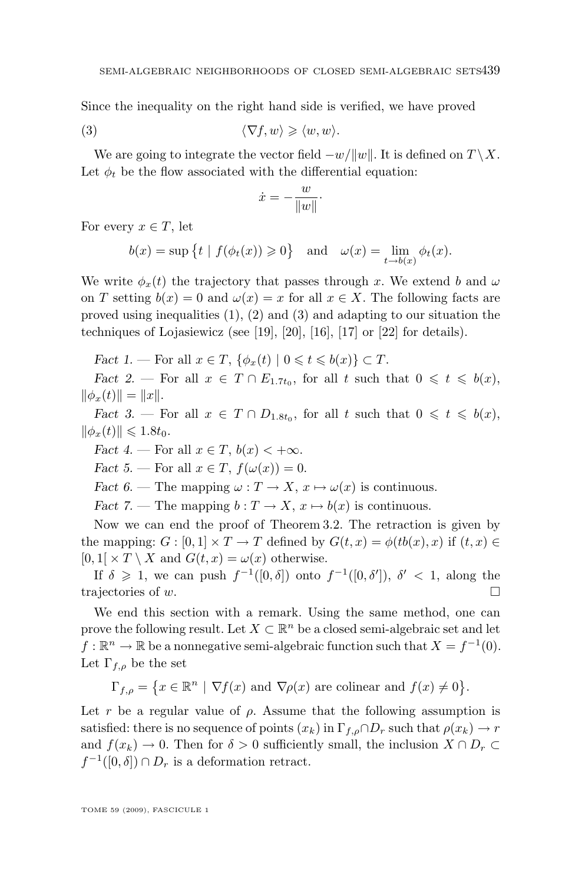Since the inequality on the right hand side is verified, we have proved

$$
\langle \nabla f, w \rangle \geqslant \langle w, w \rangle.
$$

We are going to integrate the vector field  $-w/||w||$ . It is defined on  $T \setminus X$ . Let  $\phi_t$  be the flow associated with the differential equation:

$$
\dot{x} = -\frac{w}{\|w\|}.
$$

For every  $x \in T$ , let

$$
b(x) = \sup \{t \mid f(\phi_t(x)) \ge 0\}
$$
 and  $\omega(x) = \lim_{t \to b(x)} \phi_t(x)$ .

We write  $\phi_x(t)$  the trajectory that passes through x. We extend b and  $\omega$ on T setting  $b(x) = 0$  and  $\omega(x) = x$  for all  $x \in X$ . The following facts are proved using inequalities  $(1), (2)$  and  $(3)$  and adapting to our situation the techniques of Lojasiewicz (see [\[19\]](#page-30-0), [\[20\]](#page-30-0), [\[16\]](#page-30-0), [\[17\]](#page-30-0) or [\[22\]](#page-30-0) for details).

*Fact 1.* — For all  $x \in T$ ,  $\{\phi_x(t) \mid 0 \leq t \leq b(x)\} \subset T$ .

*Fact 2.* — For all  $x \in T \cap E_{1.7t_0}$ , for all t such that  $0 \leq t \leq b(x)$ ,  $\|\phi_x(t)\| = \|x\|.$ 

*Fact 3.* — For all  $x \in T \cap D_{1.8t_0}$ , for all t such that  $0 \leq t \leq b(x)$ ,  $\|\phi_x(t)\| \leqslant 1.8t_0.$ 

*Fact 4.* — For all  $x \in T$ ,  $b(x) < +\infty$ .

*Fact* 5. — For all  $x \in T$ ,  $f(\omega(x)) = 0$ .

*Fact 6.* — The mapping  $\omega : T \to X$ ,  $x \mapsto \omega(x)$  is continuous.

*Fact* 7. — The mapping  $b: T \to X$ ,  $x \mapsto b(x)$  is continuous.

Now we can end the proof of Theorem [3.2.](#page-8-0) The retraction is given by the mapping:  $G : [0,1] \times T \to T$  defined by  $G(t,x) = \phi(tb(x),x)$  if  $(t,x) \in$  $[0, 1] \times T \setminus X$  and  $G(t, x) = \omega(x)$  otherwise.

If  $\delta \geq 1$ , we can push  $f^{-1}([0,\delta])$  onto  $f^{-1}([0,\delta'])$ ,  $\delta' < 1$ , along the trajectories of w.

We end this section with a remark. Using the same method, one can prove the following result. Let  $X \subset \mathbb{R}^n$  be a closed semi-algebraic set and let  $f: \mathbb{R}^n \to \mathbb{R}$  be a nonnegative semi-algebraic function such that  $X = f^{-1}(0)$ . Let  $\Gamma_{f,\rho}$  be the set

 $\Gamma_{f,\rho} = \{x \in \mathbb{R}^n \mid \nabla f(x) \text{ and } \nabla \rho(x) \text{ are colinear and } f(x) \neq 0\}.$ 

Let r be a regular value of  $\rho$ . Assume that the following assumption is satisfied: there is no sequence of points  $(x_k)$  in  $\Gamma_{f,\rho} \cap D_r$  such that  $\rho(x_k) \to r$ and  $f(x_k) \to 0$ . Then for  $\delta > 0$  sufficiently small, the inclusion  $X \cap D_r \subset$  $f^{-1}([0,\delta]) \cap D_r$  is a deformation retract.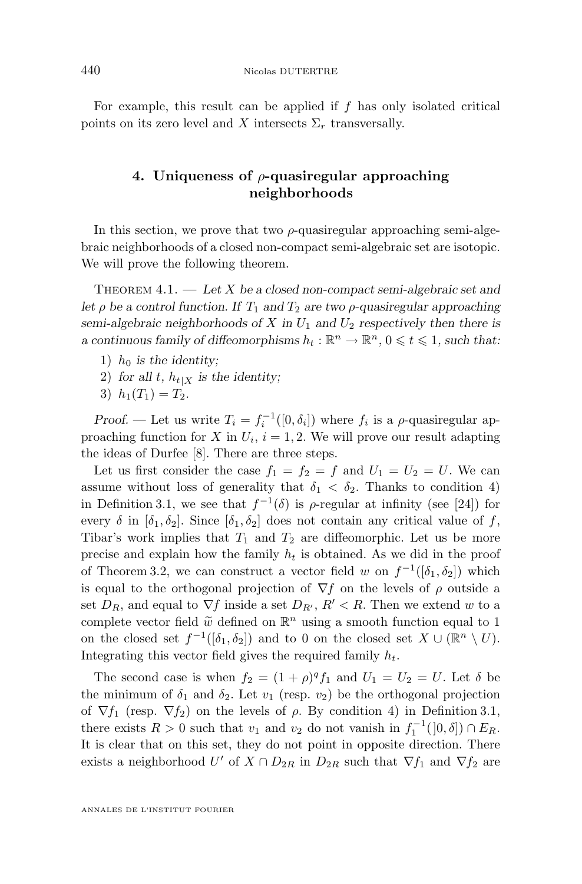<span id="page-12-0"></span>For example, this result can be applied if  $f$  has only isolated critical points on its zero level and X intersects  $\Sigma_r$  transversally.

#### **4. Uniqueness of** ρ**-quasiregular approaching neighborhoods**

In this section, we prove that two  $\rho$ -quasiregular approaching semi-algebraic neighborhoods of a closed non-compact semi-algebraic set are isotopic. We will prove the following theorem.

Theorem 4.1. — *Let* X *be a closed non-compact semi-algebraic set and let*  $\rho$  *be a control function. If*  $T_1$  *and*  $T_2$  *are two*  $\rho$ -quasiregular approaching *semi-algebraic neighborhoods of* X in  $U_1$  and  $U_2$  *respectively then there is a* continuous family of diffeomorphisms  $h_t : \mathbb{R}^n \to \mathbb{R}^n$ ,  $0 \leq t \leq 1$ , such that:

- 1)  $h_0$  *is the identity*;
- 2) for all t,  $h_{t|X}$  is the identity;
- 3)  $h_1(T_1) = T_2$ .

*Proof.* — Let us write  $T_i = f_i^{-1}([0, \delta_i])$  where  $f_i$  is a  $\rho$ -quasiregular approaching function for X in  $U_i$ ,  $i = 1, 2$ . We will prove our result adapting the ideas of Durfee [\[8\]](#page-30-0). There are three steps.

Let us first consider the case  $f_1 = f_2 = f$  and  $U_1 = U_2 = U$ . We can assume without loss of generality that  $\delta_1 < \delta_2$ . Thanks to condition 4) in Definition [3.1,](#page-8-0) we see that  $f^{-1}(\delta)$  is  $\rho$ -regular at infinity (see [\[24\]](#page-30-0)) for every  $\delta$  in  $[\delta_1, \delta_2]$ . Since  $[\delta_1, \delta_2]$  does not contain any critical value of f, Tibar's work implies that  $T_1$  and  $T_2$  are diffeomorphic. Let us be more precise and explain how the family  $h_t$  is obtained. As we did in the proof of Theorem [3.2,](#page-8-0) we can construct a vector field w on  $f^{-1}([\delta_1, \delta_2])$  which is equal to the orthogonal projection of  $\nabla f$  on the levels of  $\rho$  outside a set  $D_R$ , and equal to  $\nabla f$  inside a set  $D_{R'}$ ,  $R' < R$ . Then we extend w to a complete vector field  $\tilde{w}$  defined on  $\mathbb{R}^n$  using a smooth function equal to 1 on the closed set  $f^{-1}([\delta_1, \delta_2])$  and to 0 on the closed set  $X \cup (\mathbb{R}^n \setminus U)$ . Integrating this vector field gives the required family  $h_t$ .

The second case is when  $f_2 = (1 + \rho)^q f_1$  and  $U_1 = U_2 = U$ . Let  $\delta$  be the minimum of  $\delta_1$  and  $\delta_2$ . Let  $v_1$  (resp.  $v_2$ ) be the orthogonal projection of  $\nabla f_1$  (resp.  $\nabla f_2$ ) on the levels of  $\rho$ . By condition 4) in Definition [3.1,](#page-8-0) there exists  $R > 0$  such that  $v_1$  and  $v_2$  do not vanish in  $f_1^{-1}([0, \delta]) \cap E_R$ . It is clear that on this set, they do not point in opposite direction. There exists a neighborhood U' of  $X \cap D_{2R}$  in  $D_{2R}$  such that  $\nabla f_1$  and  $\nabla f_2$  are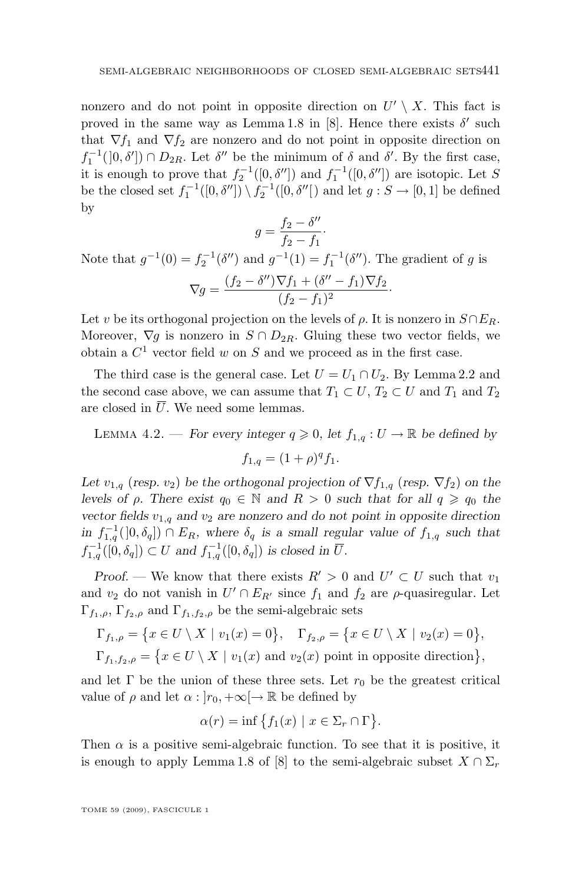<span id="page-13-0"></span>nonzero and do not point in opposite direction on  $U' \setminus X$ . This fact is proved in the same way as Lemma 1.8 in [\[8\]](#page-30-0). Hence there exists  $\delta'$  such that  $\nabla f_1$  and  $\nabla f_2$  are nonzero and do not point in opposite direction on  $f_1^{-1}([0,\delta']) \cap D_{2R}$ . Let  $\delta''$  be the minimum of  $\delta$  and  $\delta'$ . By the first case, it is enough to prove that  $f_2^{-1}([0, \delta''])$  and  $f_1^{-1}([0, \delta''])$  are isotopic. Let S be the closed set  $f_1^{-1}([0, \delta'']) \setminus f_2^{-1}([0, \delta''])$  and let  $g : S \to [0, 1]$  be defined by

$$
g = \frac{f_2 - \delta''}{f_2 - f_1}.
$$

Note that  $g^{-1}(0) = f_2^{-1}(\delta'')$  and  $g^{-1}(1) = f_1^{-1}(\delta'')$ . The gradient of g is  $\nabla g = \frac{(f_2 - \delta'')\nabla f_1 + (\delta'' - f_1)\nabla f_2}{(f_1 - f_1)^2}$  $\frac{(f_2 - f_1)^2}{(f_2 - f_1)^2}$ .

Let v be its orthogonal projection on the levels of  $\rho$ . It is nonzero in  $S \cap E_R$ . Moreover,  $\nabla g$  is nonzero in  $S \cap D_{2R}$ . Gluing these two vector fields, we obtain a  $C^1$  vector field w on S and we proceed as in the first case.

The third case is the general case. Let  $U = U_1 \cap U_2$ . By Lemma [2.2](#page-5-0) and the second case above, we can assume that  $T_1 \subset U$ ,  $T_2 \subset U$  and  $T_1$  and  $T_2$ are closed in  $\overline{U}$ . We need some lemmas.

LEMMA 4.2. — *For every integer*  $q \ge 0$ *, let*  $f_{1,q}: U \to \mathbb{R}$  *be defined by* 

$$
f_{1,q} = (1+\rho)^q f_1.
$$

*Let*  $v_{1,q}$  (*resp.*  $v_2$ ) *be the orthogonal projection of*  $\nabla f_{1,q}$  (*resp.*  $\nabla f_2$ ) *on the levels of*  $\rho$ *. There exist*  $q_0 \in \mathbb{N}$  *and*  $R > 0$  *such that for all*  $q \geq q_0$  *the vector fields*  $v_{1,q}$  *and*  $v_2$  *are nonzero and do not point in opposite direction in*  $f_{1,q}^{-1}(]0, \delta_q]$   $\cap$   $E_R$ , where  $\delta_q$  *is a small regular value of*  $f_{1,q}$  *such that*  $f_{1,q}^{-1}([0,\delta_q]) \subset U$  and  $f_{1,q}^{-1}([0,\delta_q])$  is closed in  $\overline{U}$ .

*Proof.* — We know that there exists  $R' > 0$  and  $U' \subset U$  such that  $v_1$ and  $v_2$  do not vanish in  $U' \cap E_{R'}$  since  $f_1$  and  $f_2$  are  $\rho$ -quasiregular. Let  $\Gamma_{f_1,\rho}, \Gamma_{f_2,\rho}$  and  $\Gamma_{f_1,f_2,\rho}$  be the semi-algebraic sets

$$
\Gamma_{f_1,\rho} = \{x \in U \setminus X \mid v_1(x) = 0\}, \quad \Gamma_{f_2,\rho} = \{x \in U \setminus X \mid v_2(x) = 0\},\
$$

$$
\Gamma_{f_1,f_2,\rho} = \{ x \in U \setminus X \mid v_1(x) \text{ and } v_2(x) \text{ point in opposite direction} \},
$$

and let  $\Gamma$  be the union of these three sets. Let  $r_0$  be the greatest critical value of  $\rho$  and let  $\alpha : |r_0, +\infty| \to \mathbb{R}$  be defined by

$$
\alpha(r) = \inf \{ f_1(x) \mid x \in \Sigma_r \cap \Gamma \}.
$$

Then  $\alpha$  is a positive semi-algebraic function. To see that it is positive, it is enough to apply Lemma 1.8 of [\[8\]](#page-30-0) to the semi-algebraic subset  $X \cap \Sigma_r$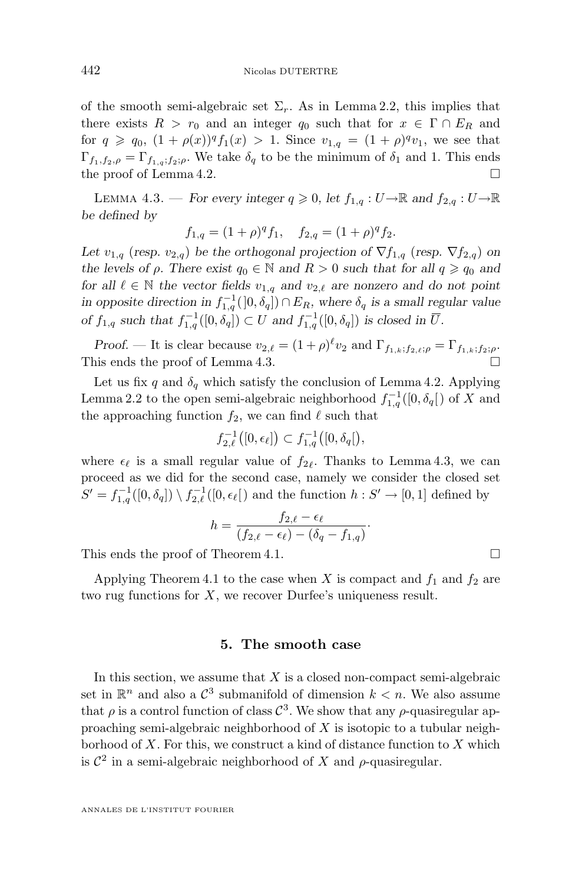of the smooth semi-algebraic set  $\Sigma_r$ . As in Lemma [2.2,](#page-5-0) this implies that there exists  $R > r_0$  and an integer  $q_0$  such that for  $x \in \Gamma \cap E_R$  and for  $q \geq q_0$ ,  $(1 + \rho(x))^q f_1(x) > 1$ . Since  $v_{1,q} = (1 + \rho)^q v_1$ , we see that  $\Gamma_{f_1,f_2,\rho} = \Gamma_{f_1,g,f_2;\rho}$ . We take  $\delta_q$  to be the minimum of  $\delta_1$  and 1. This ends the proof of Lemma [4.2.](#page-13-0)

LEMMA 4.3. — *For every integer*  $q \geq 0$ , let  $f_{1,q}: U \to \mathbb{R}$  and  $f_{2,q}: U \to \mathbb{R}$ *be defined by*

$$
f_{1,q} = (1+\rho)^q f_1, \quad f_{2,q} = (1+\rho)^q f_2.
$$

*Let*  $v_{1,q}$  (*resp.*  $v_{2,q}$ ) *be the orthogonal projection of*  $\nabla f_{1,q}$  (*resp.*  $\nabla f_{2,q}$ ) *on the levels of*  $\rho$ *. There exist*  $q_0 \in \mathbb{N}$  *and*  $R > 0$  *such that for all*  $q \geq q_0$  *and for all*  $\ell \in \mathbb{N}$  *the vector fields*  $v_{1,q}$  *and*  $v_{2,\ell}$  *are nonzero and do not point in opposite direction in*  $f_{1,q}^{-1}(0, \delta_q)$   $\cap E_R$ , where  $\delta_q$  *is a small regular value of*  $f_{1,q}$  *such that*  $f_{1,q}^{-1}([0, \delta_q]) \subset U$  *and*  $f_{1,q}^{-1}([0, \delta_q])$  *is closed in*  $\overline{U}$ *.* 

*Proof.* — It is clear because  $v_{2,\ell} = (1 + \rho)^{\ell} v_2$  and  $\Gamma_{f_{1,k};f_{2,\ell};\rho} = \Gamma_{f_{1,k};f_2;\rho}$ . This ends the proof of Lemma 4.3.

Let us fix q and  $\delta_q$  which satisfy the conclusion of Lemma [4.2.](#page-13-0) Applying Lemma [2.2](#page-5-0) to the open semi-algebraic neighborhood  $f_{1,q}^{-1}([0, \delta_q[)$  of X and the approaching function  $f_2$ , we can find  $\ell$  such that

$$
f_{2,\ell}^{-1}([0,\epsilon_{\ell}]) \subset f_{1,q}^{-1}([0,\delta_q]),
$$

where  $\epsilon_{\ell}$  is a small regular value of  $f_{2\ell}$ . Thanks to Lemma 4.3, we can proceed as we did for the second case, namely we consider the closed set  $S' = f_{1,q}^{-1}([0, \delta_q]) \setminus f_{2,\ell}^{-1}([0, \epsilon_\ell])$  and the function  $h : S' \to [0, 1]$  defined by

$$
h = \frac{f_{2,\ell} - \epsilon_{\ell}}{(f_{2,\ell} - \epsilon_{\ell}) - (\delta_q - f_{1,q})}
$$

·

This ends the proof of Theorem [4.1.](#page-12-0)

Applying Theorem [4.1](#page-12-0) to the case when X is compact and  $f_1$  and  $f_2$  are two rug functions for  $X$ , we recover Durfee's uniqueness result.

#### **5. The smooth case**

In this section, we assume that  $X$  is a closed non-compact semi-algebraic set in  $\mathbb{R}^n$  and also a  $\mathcal{C}^3$  submanifold of dimension  $k < n$ . We also assume that  $\rho$  is a control function of class  $\mathcal{C}^3$ . We show that any  $\rho$ -quasiregular approaching semi-algebraic neighborhood of  $X$  is isotopic to a tubular neighborhood of  $X$ . For this, we construct a kind of distance function to  $X$  which is  $\mathcal{C}^2$  in a semi-algebraic neighborhood of X and  $\rho$ -quasiregular.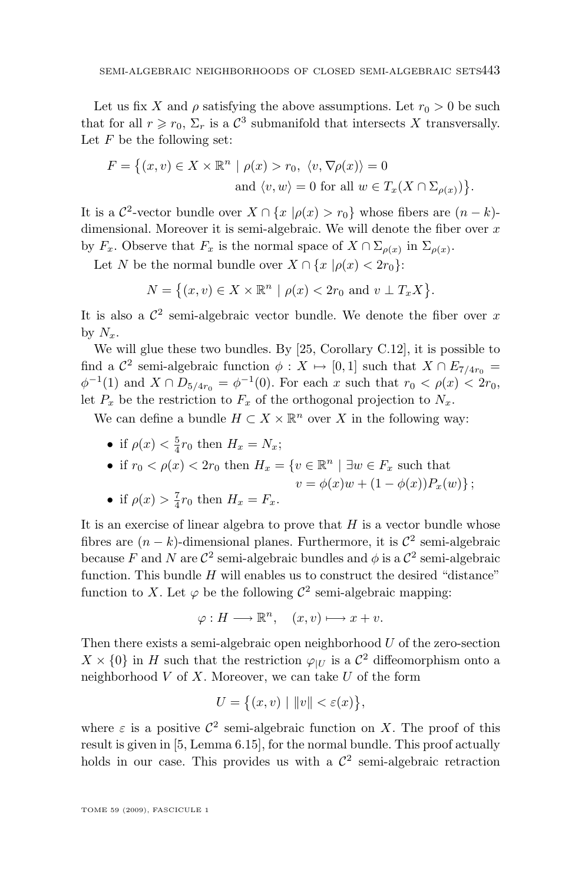Let us fix X and  $\rho$  satisfying the above assumptions. Let  $r_0 > 0$  be such that for all  $r \ge r_0$ ,  $\Sigma_r$  is a  $\mathcal{C}^3$  submanifold that intersects X transversally. Let  $F$  be the following set:

$$
F = \{(x, v) \in X \times \mathbb{R}^n \mid \rho(x) > r_0, \langle v, \nabla \rho(x) \rangle = 0
$$
  
and  $\langle v, w \rangle = 0$  for all  $w \in T_x(X \cap \Sigma_{\rho(x)})\}.$ 

It is a  $\mathcal{C}^2$ -vector bundle over  $X \cap \{x \mid \rho(x) > r_0\}$  whose fibers are  $(n - k)$ dimensional. Moreover it is semi-algebraic. We will denote the fiber over  $x$ by  $F_x$ . Observe that  $F_x$  is the normal space of  $X \cap \Sigma_{\rho(x)}$  in  $\Sigma_{\rho(x)}$ .

Let N be the normal bundle over  $X \cap \{x \mid \rho(x) < 2r_0\}$ :

$$
N = \{(x, v) \in X \times \mathbb{R}^n \mid \rho(x) < 2r_0 \text{ and } v \perp T_x X\}.
$$

It is also a  $\mathcal{C}^2$  semi-algebraic vector bundle. We denote the fiber over x by  $N_x$ .

We will glue these two bundles. By [\[25,](#page-30-0) Corollary C.12], it is possible to find a  $\mathcal{C}^2$  semi-algebraic function  $\phi: X \mapsto [0, 1]$  such that  $X \cap E_{7/4r_0} =$  $\phi^{-1}(1)$  and  $X \cap D_{5/4r_0} = \phi^{-1}(0)$ . For each x such that  $r_0 < \rho(x) < 2r_0$ , let  $P_x$  be the restriction to  $F_x$  of the orthogonal projection to  $N_x$ .

We can define a bundle  $H \subset X \times \mathbb{R}^n$  over X in the following way:

• if  $\rho(x) < \frac{5}{4}r_0$  then  $H_x = N_x$ ;

• if 
$$
r_0 < \rho(x) < 2r_0
$$
 then  $H_x = \{ v \in \mathbb{R}^n \mid \exists w \in F_x \text{ such that }$ 

$$
v = \phi(x)w + (1 - \phi(x))P_x(w);
$$

• if 
$$
\rho(x) > \frac{7}{4}r_0
$$
 then  $H_x = F_x$ .

It is an exercise of linear algebra to prove that  $H$  is a vector bundle whose fibres are  $(n - k)$ -dimensional planes. Furthermore, it is  $\mathcal{C}^2$  semi-algebraic because F and N are  $\mathcal{C}^2$  semi-algebraic bundles and  $\phi$  is a  $\mathcal{C}^2$  semi-algebraic function. This bundle  $H$  will enables us to construct the desired "distance" function to X. Let  $\varphi$  be the following  $\mathcal{C}^2$  semi-algebraic mapping:

$$
\varphi: H \longrightarrow \mathbb{R}^n, \quad (x, v) \longmapsto x + v.
$$

Then there exists a semi-algebraic open neighborhood  $U$  of the zero-section  $X \times \{0\}$  in H such that the restriction  $\varphi_{|U}$  is a  $\mathcal{C}^2$  diffeomorphism onto a neighborhood  $V$  of  $X$ . Moreover, we can take  $U$  of the form

$$
U = \{(x, v) \mid ||v|| < \varepsilon(x)\},
$$

where  $\varepsilon$  is a positive  $\mathcal{C}^2$  semi-algebraic function on X. The proof of this result is given in [\[5,](#page-29-0) Lemma 6.15], for the normal bundle. This proof actually holds in our case. This provides us with a  $\mathcal{C}^2$  semi-algebraic retraction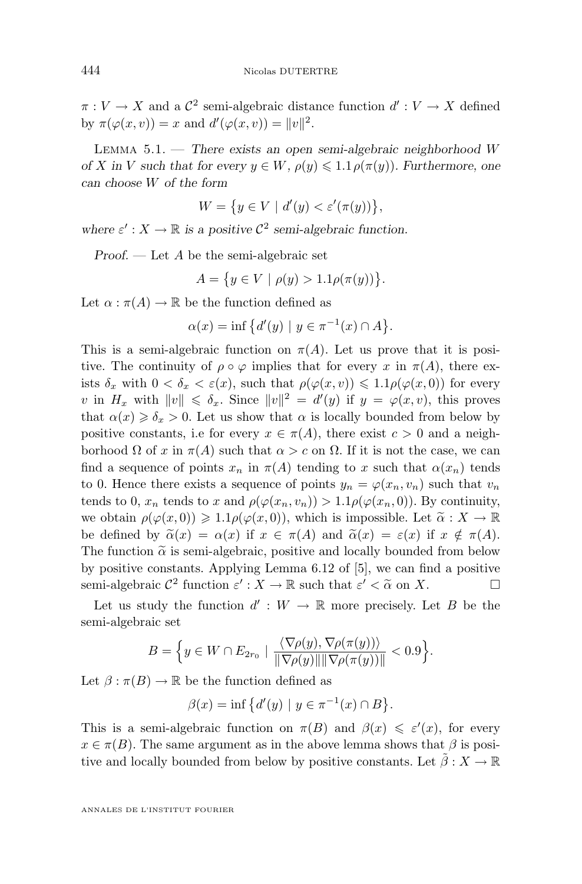<span id="page-16-0"></span> $\pi: V \to X$  and a  $\mathcal{C}^2$  semi-algebraic distance function  $d': V \to X$  defined by  $\pi(\varphi(x,v)) = x$  and  $d'(\varphi(x,v)) = ||v||^2$ .

Lemma 5.1. — *There exists an open semi-algebraic neighborhood* W *of* X in V such that for every  $y \in W$ ,  $\rho(y) \leq 1.1 \rho(\pi(y))$ . Furthermore, one *can choose* W *of the form*

$$
W = \{ y \in V \mid d'(y) < \varepsilon'(\pi(y)) \},
$$

where  $\varepsilon' : X \to \mathbb{R}$  is a positive  $\mathcal{C}^2$  semi-algebraic function.

*Proof. —* Let A be the semi-algebraic set

$$
A = \{ y \in V \mid \rho(y) > 1.1 \rho(\pi(y)) \}.
$$

Let  $\alpha : \pi(A) \to \mathbb{R}$  be the function defined as

$$
\alpha(x) = \inf \{ d'(y) \mid y \in \pi^{-1}(x) \cap A \}.
$$

This is a semi-algebraic function on  $\pi(A)$ . Let us prove that it is positive. The continuity of  $\rho \circ \varphi$  implies that for every x in  $\pi(A)$ , there exists  $\delta_x$  with  $0 < \delta_x < \varepsilon(x)$ , such that  $\rho(\varphi(x, v)) \leq 1.1 \rho(\varphi(x, 0))$  for every v in  $H_x$  with  $||v|| \leq \delta_x$ . Since  $||v||^2 = d'(y)$  if  $y = \varphi(x, v)$ , this proves that  $\alpha(x) \geq \delta_x > 0$ . Let us show that  $\alpha$  is locally bounded from below by positive constants, i.e for every  $x \in \pi(A)$ , there exist  $c > 0$  and a neighborhood  $\Omega$  of x in  $\pi(A)$  such that  $\alpha > c$  on  $\Omega$ . If it is not the case, we can find a sequence of points  $x_n$  in  $\pi(A)$  tending to x such that  $\alpha(x_n)$  tends to 0. Hence there exists a sequence of points  $y_n = \varphi(x_n, v_n)$  such that  $v_n$ tends to 0,  $x_n$  tends to x and  $\rho(\varphi(x_n, v_n)) > 1.1 \rho(\varphi(x_n, 0))$ . By continuity, we obtain  $\rho(\varphi(x,0)) \geq 1.1 \rho(\varphi(x,0))$ , which is impossible. Let  $\tilde{\alpha}: X \to \mathbb{R}$ be defined by  $\tilde{\alpha}(x) = \alpha(x)$  if  $x \in \pi(A)$  and  $\tilde{\alpha}(x) = \varepsilon(x)$  if  $x \notin \pi(A)$ . The function  $\tilde{\alpha}$  is semi-algebraic, positive and locally bounded from below by positive constants. Applying Lemma 6.12 of [\[5\]](#page-29-0), we can find a positive semi-algebraic  $\mathcal{C}^2$  function  $\varepsilon' : X \to \mathbb{R}$  such that  $\varepsilon' < \tilde{\alpha}$  on X.

Let us study the function  $d' : W \to \mathbb{R}$  more precisely. Let B be the semi-algebraic set

$$
B = \Big\{ y \in W \cap E_{2r_0} \mid \frac{\langle \nabla \rho(y), \nabla \rho(\pi(y)) \rangle}{\|\nabla \rho(y)\| \|\nabla \rho(\pi(y))\|} < 0.9 \Big\}.
$$

Let  $\beta : \pi(B) \to \mathbb{R}$  be the function defined as

$$
\beta(x) = \inf \{ d'(y) \mid y \in \pi^{-1}(x) \cap B \}.
$$

This is a semi-algebraic function on  $\pi(B)$  and  $\beta(x) \leq \varepsilon'(x)$ , for every  $x \in \pi(B)$ . The same argument as in the above lemma shows that  $\beta$  is positive and locally bounded from below by positive constants. Let  $\tilde{\beta}:X\rightarrow\mathbb{R}$ 

ANNALES DE L'INSTITUT FOURIER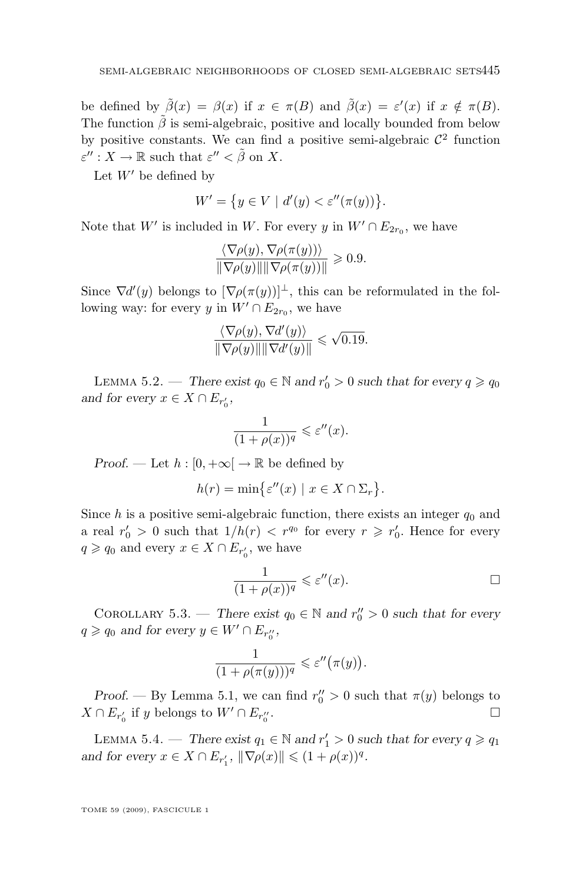be defined by  $\tilde{\beta}(x) = \beta(x)$  if  $x \in \pi(B)$  and  $\tilde{\beta}(x) = \varepsilon'(x)$  if  $x \notin \pi(B)$ . The function  $\tilde{\beta}$  is semi-algebraic, positive and locally bounded from below by positive constants. We can find a positive semi-algebraic  $\mathcal{C}^2$  function  $\varepsilon'': X \to \mathbb{R}$  such that  $\varepsilon'' < \tilde{\beta}$  on X.

Let  $W'$  be defined by

$$
W' = \{ y \in V \mid d'(y) < \varepsilon''(\pi(y)) \}.
$$

Note that W' is included in W. For every y in  $W' \cap E_{2r_0}$ , we have

$$
\frac{\langle \nabla \rho(y), \nabla \rho(\pi(y)) \rangle}{\|\nabla \rho(y)\| \|\nabla \rho(\pi(y))\|} \geq 0.9.
$$

Since  $\nabla d'(y)$  belongs to  $[\nabla \rho(\pi(y))]^{\perp}$ , this can be reformulated in the following way: for every y in  $W' \cap E_{2r_0}$ , we have

$$
\frac{\langle \nabla \rho(y), \nabla d'(y) \rangle}{\|\nabla \rho(y)\| \|\nabla d'(y)\|} \leqslant \sqrt{0.19}.
$$

LEMMA 5.2. — *There exist*  $q_0 \in \mathbb{N}$  and  $r'_0 > 0$  such that for every  $q \geq q_0$ and for every  $x \in X \cap E_{r'_0}$ ,

$$
\frac{1}{(1+\rho(x))^q} \leqslant \varepsilon''(x).
$$

*Proof.* — Let  $h : [0, +\infty] \to \mathbb{R}$  be defined by

$$
h(r) = \min\bigl\{\varepsilon''(x) \mid x \in X \cap \Sigma_r\bigr\}.
$$

Since h is a positive semi-algebraic function, there exists an integer  $q_0$  and a real  $r'_0 > 0$  such that  $1/h(r) < r^{q_0}$  for every  $r \geq r'_0$ . Hence for every  $q \geqslant q_0$  and every  $x \in X \cap E_{r'_0}$ , we have

$$
\frac{1}{(1+\rho(x))^q} \leqslant \varepsilon''(x).
$$

COROLLARY 5.3. — *There exist*  $q_0 \in \mathbb{N}$  and  $r''_0 > 0$  such that for every  $q \geqslant q_0$  and for every  $y \in W' \cap E_{r''_0}$ ,

$$
\frac{1}{(1+\rho(\pi(y)))^q} \leqslant \varepsilon''(\pi(y)).
$$

*Proof.* — By Lemma 5.1, we can find  $r''_0 > 0$  such that  $\pi(y)$  belongs to  $X \cap E_{r'_0}$  if y belongs to  $W' \cap E_{r''_0}$ .

LEMMA 5.4. — *There exist*  $q_1 \in \mathbb{N}$  and  $r'_1 > 0$  such that for every  $q \geq q_1$ *and for every*  $x \in X \cap E_{r'_1}$ ,  $\|\nabla \rho(x)\| \leq (1 + \rho(x))^q$ .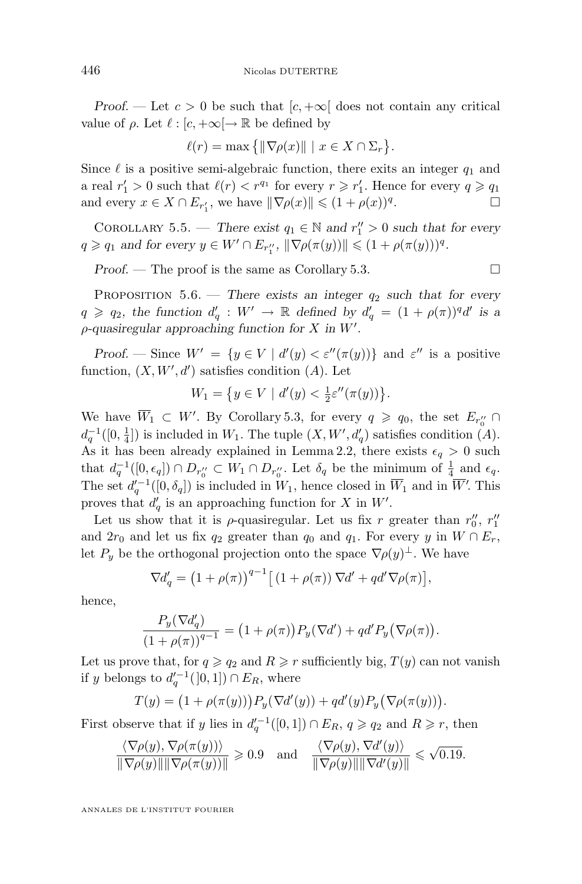<span id="page-18-0"></span>*Proof.* — Let  $c > 0$  be such that  $[c, +\infty]$  does not contain any critical value of  $\rho$ . Let  $\ell : [c, +\infty] \to \mathbb{R}$  be defined by

$$
\ell(r) = \max\big\{\|\nabla\rho(x)\| \mid x \in X \cap \Sigma_r\big\}.
$$

Since  $\ell$  is a positive semi-algebraic function, there exits an integer  $q_1$  and a real  $r'_1 > 0$  such that  $\ell(r) < r^{q_1}$  for every  $r \geq r'_1$ . Hence for every  $q \geq q_1$ and every  $x \in X \cap E_{r'_1}$ , we have  $\|\nabla \rho(x)\| \leq (1 + \rho(x))^q$ . — Первый проста в серверності в серверності в серверності в серверності в серверності в серверності в сервер<br>В серверності в серверності в серверності в серверності в серверності в серверності в серверності в серверност

COROLLARY 5.5. — *There exist*  $q_1 \in \mathbb{N}$  and  $r''_1 > 0$  such that for every  $q \geq q_1$  and for every  $y \in W' \cap E_{r''_1}$ ,  $\|\nabla \rho(\pi(y))\| \leq (1 + \rho(\pi(y)))^q$ .

*Proof.* − The proof is the same as Corollary 5.3.

PROPOSITION  $5.6$ . — *There exists an integer*  $q_2$  *such that for every*  $q \geqslant q_2$ , the function  $d'_q : W' \to \mathbb{R}$  defined by  $d'_q = (1 + \rho(\pi))^q d'$  is a  $\rho$ -quasiregular approaching function for X in W'.

*Proof.* — Since  $W' = \{y \in V \mid d'(y) < \varepsilon''(\pi(y))\}$  and  $\varepsilon''$  is a positive function,  $(X, W', d')$  satisfies condition  $(A)$ . Let

$$
W_1 = \{ y \in V \mid d'(y) < \frac{1}{2} \varepsilon''(\pi(y)) \}.
$$

We have  $\overline{W}_1 \subset W'$ . By Corollary 5.3, for every  $q \geq q_0$ , the set  $E_{r''_0} \cap$  $d_q^{-1}([0, \frac{1}{4}])$  is included in  $W_1$ . The tuple  $(X, W', d'_q)$  satisfies condition  $(A)$ . As it has been already explained in Lemma [2.2,](#page-5-0) there exists  $\epsilon_q > 0$  such that  $d_q^{-1}([0, \epsilon_q]) \cap D_{r''_0} \subset W_1 \cap D_{r''_0}$ . Let  $\delta_q$  be the minimum of  $\frac{1}{4}$  and  $\epsilon_q$ . The set  $d_q^{\prime-1}([0,\delta_q])$  is included in  $W_1$ , hence closed in  $\overline{W}_1$  and in  $\overline{W}'$ . This proves that  $d'_q$  is an approaching function for X in W'.

Let us show that it is  $\rho$ -quasiregular. Let us fix r greater than  $r''_0$ ,  $r''_1$ and  $2r_0$  and let us fix  $q_2$  greater than  $q_0$  and  $q_1$ . For every y in  $W \cap E_r$ , let  $P_y$  be the orthogonal projection onto the space  $\nabla \rho(y)$ <sup> $\perp$ </sup>. We have

$$
\nabla d'_{q} = \left(1 + \rho(\pi)\right)^{q-1} \left[\left(1 + \rho(\pi)\right) \nabla d' + q d' \nabla \rho(\pi)\right],
$$

hence,

$$
\frac{P_y(\nabla d'_q)}{(1+\rho(\pi))^{q-1}} = (1+\rho(\pi))P_y(\nabla d') + qd'P_y(\nabla \rho(\pi)).
$$

Let us prove that, for  $q \ge q_2$  and  $R \ge r$  sufficiently big,  $T(y)$  can not vanish if y belongs to  $d_q^{\prime -1}([0,1]) \cap E_R$ , where

$$
T(y) = (1 + \rho(\pi(y))) P_y(\nabla d'(y)) + qd'(y) P_y(\nabla \rho(\pi(y))).
$$

First observe that if y lies in  $d_q^{-1}([0,1]) \cap E_R$ ,  $q \geqslant q_2$  and  $R \geqslant r$ , then

$$
\frac{\langle \nabla \rho(y), \nabla \rho(\pi(y)) \rangle}{\|\nabla \rho(y)\| \|\nabla \rho(\pi(y))\|} \geq 0.9 \quad \text{and} \quad \frac{\langle \nabla \rho(y), \nabla d'(y) \rangle}{\|\nabla \rho(y)\| \|\nabla d'(y)\|} \leq \sqrt{0.19}.
$$

ANNALES DE L'INSTITUT FOURIER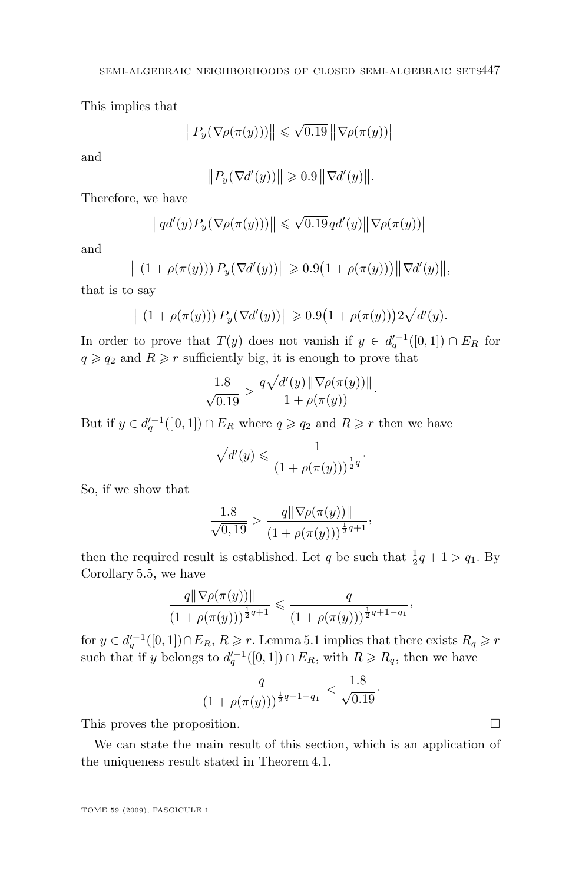<span id="page-19-0"></span>This implies that

$$
||P_y(\nabla \rho(\pi(y)))|| \leq \sqrt{0.19} ||\nabla \rho(\pi(y))||
$$

and

$$
||P_y(\nabla d'(y))|| \geqslant 0.9||\nabla d'(y)||.
$$

Therefore, we have

$$
\left\|qd'(y)P_y(\nabla\rho(\pi(y)))\right\| \leqslant \sqrt{0.19}q d'(y)\left\|\nabla\rho(\pi(y))\right\|
$$

and

$$
\| (1 + \rho(\pi(y))) P_y(\nabla d'(y)) \| \geq 0.9 (1 + \rho(\pi(y))) \| \nabla d'(y) \|,
$$

that is to say

$$
||(1 + \rho(\pi(y))) P_y(\nabla d'(y))|| \ge 0.9(1 + \rho(\pi(y))) 2\sqrt{d'(y)}.
$$

In order to prove that  $T(y)$  does not vanish if  $y \in d_q'^{-1}([0,1]) \cap E_R$  for  $q \geqslant q_2$  and  $R \geqslant r$  sufficiently big, it is enough to prove that

$$
\frac{1.8}{\sqrt{0.19}} > \frac{q\sqrt{d'(y)} \|\nabla \rho(\pi(y))\|}{1 + \rho(\pi(y))}.
$$

But if  $y \in d_q'^{-1}([0,1]) \cap E_R$  where  $q \geqslant q_2$  and  $R \geqslant r$  then we have

$$
\sqrt{d'(y)} \leqslant \frac{1}{\left(1 + \rho(\pi(y))\right)^{\frac{1}{2}q}}.
$$

So, if we show that

$$
\frac{1.8}{\sqrt{0,19}} > \frac{q \|\nabla \rho(\pi(y))\|}{\left(1 + \rho(\pi(y))\right)^{\frac{1}{2}q+1}},
$$

then the required result is established. Let q be such that  $\frac{1}{2}q + 1 > q_1$ . By Corollary [5.5,](#page-18-0) we have

$$
\frac{q\|\nabla\rho(\pi(y))\|}{(1+\rho(\pi(y)))^{\frac{1}{2}q+1}} \leq \frac{q}{(1+\rho(\pi(y)))^{\frac{1}{2}q+1-q_1}},
$$

for  $y \in d_q'^{-1}([0,1]) \cap E_R$ ,  $R \geq r$ . Lemma [5.1](#page-16-0) implies that there exists  $R_q \geq r$ such that if y belongs to  $d_q'^{-1}([0,1]) \cap E_R$ , with  $R \ge R_q$ , then we have

$$
\frac{q}{(1+\rho(\pi(y)))^{\frac{1}{2}q+1-q_1}} < \frac{1.8}{\sqrt{0.19}}
$$

·

This proves the proposition.

We can state the main result of this section, which is an application of the uniqueness result stated in Theorem [4.1.](#page-12-0)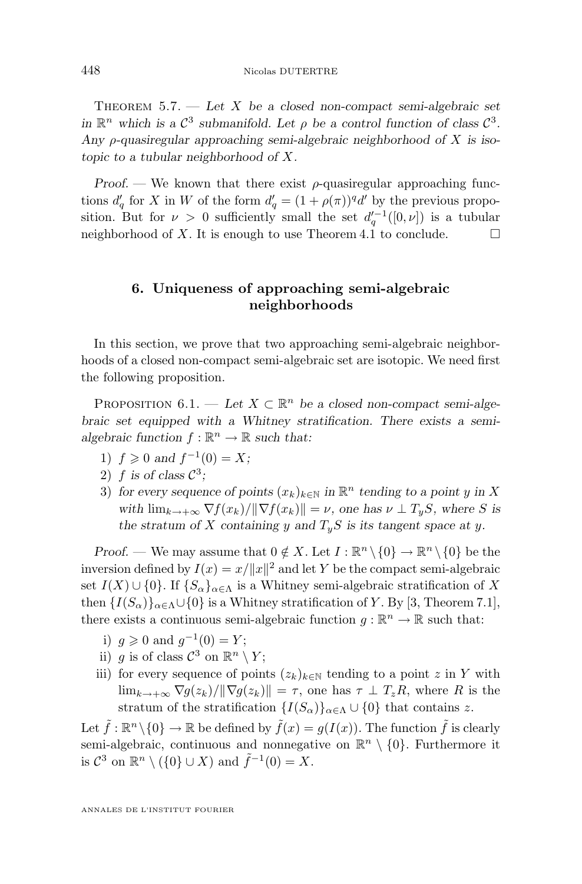<span id="page-20-0"></span>Theorem 5.7. — *Let* X *be a closed non-compact semi-algebraic set in*  $\mathbb{R}^n$  which is a  $\mathcal{C}^3$  submanifold. Let  $\rho$  be a control function of class  $\mathcal{C}^3$ . *Any* ρ*-quasiregular approaching semi-algebraic neighborhood of* X *is isotopic to a tubular neighborhood of* X*.*

*Proof.* — We known that there exist  $\rho$ -quasiregular approaching functions  $d'_q$  for X in W of the form  $d'_q = (1 + \rho(\pi))^q d'$  by the previous proposition. But for  $\nu > 0$  sufficiently small the set  $d_q^{\prime -1}([0, \nu])$  is a tubular neighborhood of X. It is enough to use Theorem [4.1](#page-12-0) to conclude.  $\Box$ 

#### **6. Uniqueness of approaching semi-algebraic neighborhoods**

In this section, we prove that two approaching semi-algebraic neighborhoods of a closed non-compact semi-algebraic set are isotopic. We need first the following proposition.

PROPOSITION  $6.1.$  — Let  $X \subset \mathbb{R}^n$  be a closed non-compact semi-alge*braic set equipped with a Whitney stratification. There exists a semi*algebraic function  $f : \mathbb{R}^n \to \mathbb{R}$  such that:

- 1)  $f \ge 0$  and  $f^{-1}(0) = X$ ;
- 2)  $f$  is of class  $C^3$ ;
- 3) for every sequence of points  $(x_k)_{k \in \mathbb{N}}$  in  $\mathbb{R}^n$  tending to a point y in X *with*  $\lim_{k \to +\infty} \nabla f(x_k) / ||\nabla f(x_k)|| = \nu$ , one has  $\nu \perp T_uS$ , where *S* is the stratum of X containing y and  $T_yS$  is its tangent space at y.

*Proof.* — We may assume that  $0 \notin X$ . Let  $I : \mathbb{R}^n \setminus \{0\} \to \mathbb{R}^n \setminus \{0\}$  be the inversion defined by  $I(x) = x/||x||^2$  and let Y be the compact semi-algebraic set  $I(X) \cup \{0\}$ . If  $\{S_{\alpha}\}_{{\alpha \in \Lambda}}$  is a Whitney semi-algebraic stratification of X then  ${I(S_\alpha)}_{\alpha\in\Lambda}\cup\{0\}$  is a Whitney stratification of Y. By [\[3,](#page-29-0) Theorem 7.1], there exists a continuous semi-algebraic function  $g : \mathbb{R}^n \to \mathbb{R}$  such that:

- i)  $g \ge 0$  and  $g^{-1}(0) = Y;$
- ii) g is of class  $\mathcal{C}^3$  on  $\mathbb{R}^n \setminus Y;$
- iii) for every sequence of points  $(z_k)_{k\in\mathbb{N}}$  tending to a point z in Y with  $\lim_{k\to+\infty} \nabla g(z_k)/\|\nabla g(z_k)\| = \tau$ , one has  $\tau \perp T_zR$ , where R is the stratum of the stratification  ${I(S_\alpha)}_{\alpha\in\Lambda}\cup\{0\}$  that contains z.

Let  $\tilde{f} : \mathbb{R}^n \setminus \{0\} \to \mathbb{R}$  be defined by  $\tilde{f}(x) = g(I(x))$ . The function  $\tilde{f}$  is clearly semi-algebraic, continuous and nonnegative on  $\mathbb{R}^n \setminus \{0\}$ . Furthermore it is  $\mathcal{C}^3$  on  $\mathbb{R}^n \setminus (\{0\} \cup X)$  and  $\tilde{f}^{-1}(0) = X$ .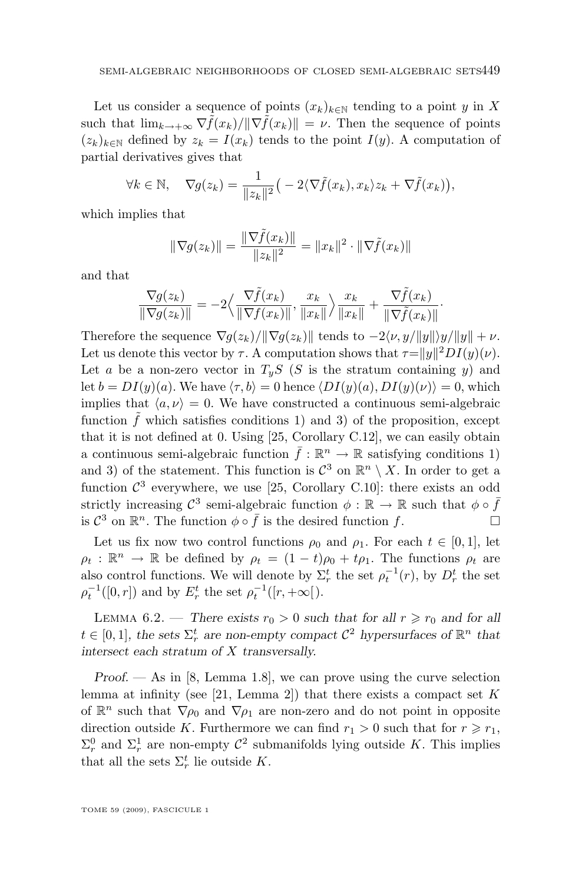<span id="page-21-0"></span>Let us consider a sequence of points  $(x_k)_{k\in\mathbb{N}}$  tending to a point y in X such that  $\lim_{k\to+\infty} \nabla \tilde{f}(x_k)/\|\nabla \tilde{f}(x_k)\| = \nu$ . Then the sequence of points  $(z_k)_{k\in\mathbb{N}}$  defined by  $z_k = I(x_k)$  tends to the point  $I(y)$ . A computation of partial derivatives gives that

$$
\forall k \in \mathbb{N}, \quad \nabla g(z_k) = \frac{1}{\|z_k\|^2} \big(-2\langle \nabla \tilde{f}(x_k), x_k \rangle z_k + \nabla \tilde{f}(x_k) \big),
$$

which implies that

$$
\|\nabla g(z_k)\| = \frac{\|\nabla \tilde{f}(x_k)\|}{\|z_k\|^2} = \|x_k\|^2 \cdot \|\nabla \tilde{f}(x_k)\|
$$

and that

$$
\frac{\nabla g(z_k)}{\|\nabla g(z_k)\|} = -2 \Big\langle \frac{\nabla \tilde{f}(x_k)}{\|\nabla f(x_k)\|}, \frac{x_k}{\|x_k\|} \Big\rangle \frac{x_k}{\|x_k\|} + \frac{\nabla \tilde{f}(x_k)}{\|\nabla \tilde{f}(x_k)\|}.
$$

Therefore the sequence  $\nabla g(z_k)/\|\nabla g(z_k)\|$  tends to  $-2\langle \nu, y/||y|| \rangle y/||y|| + \nu$ . Let us denote this vector by  $\tau$ . A computation shows that  $\tau = ||y||^2 DI(y)(\nu)$ . Let a be a non-zero vector in  $T_yS$  (S is the stratum containing y) and let  $b = DI(y)(a)$ . We have  $\langle \tau, b \rangle = 0$  hence  $\langle DI(y)(a), DI(y)(\nu) \rangle = 0$ , which implies that  $\langle a, \nu \rangle = 0$ . We have constructed a continuous semi-algebraic function  $f$  which satisfies conditions 1) and 3) of the proposition, except that it is not defined at 0. Using [\[25,](#page-30-0) Corollary C.12], we can easily obtain a continuous semi-algebraic function  $\bar{f} : \mathbb{R}^n \to \mathbb{R}$  satisfying conditions 1) and 3) of the statement. This function is  $\mathcal{C}^3$  on  $\mathbb{R}^n \setminus X$ . In order to get a function  $\mathcal{C}^3$  everywhere, we use [\[25,](#page-30-0) Corollary C.10]: there exists an odd strictly increasing  $\mathcal{C}^3$  semi-algebraic function  $\phi : \mathbb{R} \to \mathbb{R}$  such that  $\phi \circ \bar{f}$ is  $\mathcal{C}^3$  on  $\mathbb{R}^n$ . The function  $\phi \circ \bar{f}$  is the desired function f.

Let us fix now two control functions  $\rho_0$  and  $\rho_1$ . For each  $t \in [0,1]$ , let  $\rho_t : \mathbb{R}^n \to \mathbb{R}$  be defined by  $\rho_t = (1-t)\rho_0 + t\rho_1$ . The functions  $\rho_t$  are also control functions. We will denote by  $\Sigma_r^t$  the set  $\rho_t^{-1}(r)$ , by  $D_r^t$  the set  $\rho_t^{-1}([0, r])$  and by  $E_r^t$  the set  $\rho_t^{-1}([r, +\infty])$ .

LEMMA 6.2. — There exists  $r_0 > 0$  such that for all  $r \ge r_0$  and for all  $t \in [0, 1]$ , the sets  $\Sigma_r^t$  are non-empty compact  $C^2$  hypersurfaces of  $\mathbb{R}^n$  that *intersect each stratum of* X *transversally.*

*Proof. —* As in [\[8,](#page-30-0) Lemma 1.8], we can prove using the curve selection lemma at infinity (see [\[21,](#page-30-0) Lemma 2]) that there exists a compact set  $K$ of  $\mathbb{R}^n$  such that  $\nabla \rho_0$  and  $\nabla \rho_1$  are non-zero and do not point in opposite direction outside K. Furthermore we can find  $r_1 > 0$  such that for  $r \ge r_1$ ,  $\Sigma_r^0$  and  $\Sigma_r^1$  are non-empty  $\mathcal{C}^2$  submanifolds lying outside K. This implies that all the sets  $\Sigma_r^t$  lie outside K.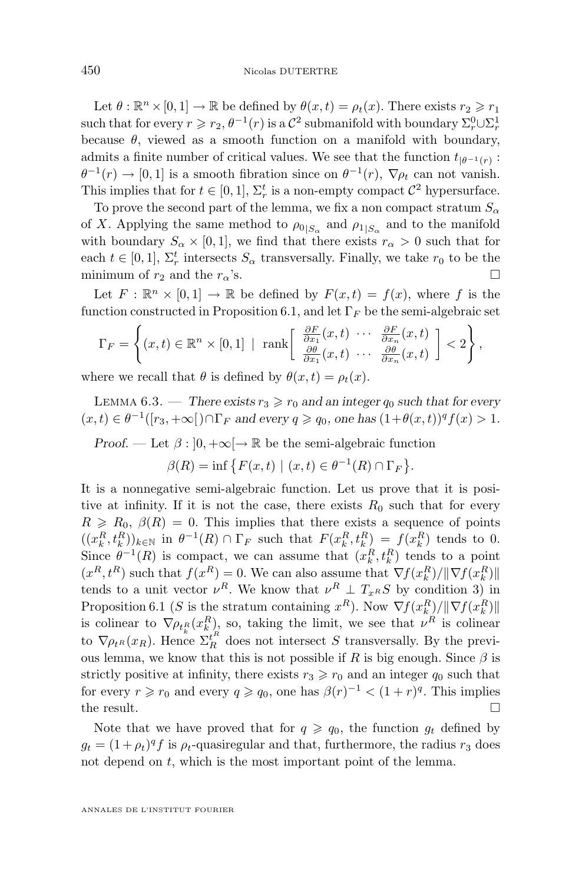<span id="page-22-0"></span>Let  $\theta : \mathbb{R}^n \times [0, 1] \to \mathbb{R}$  be defined by  $\theta(x, t) = \rho_t(x)$ . There exists  $r_2 \geq r_1$ such that for every  $r \ge r_2$ ,  $\theta^{-1}(r)$  is a  $\mathcal{C}^2$  submanifold with boundary  $\Sigma_r^0 \cup \Sigma_r^1$ because  $\theta$ , viewed as a smooth function on a manifold with boundary, admits a finite number of critical values. We see that the function  $t_{|\theta^{-1}(r)}$ :  $\theta^{-1}(r) \to [0,1]$  is a smooth fibration since on  $\theta^{-1}(r)$ ,  $\nabla \rho_t$  can not vanish. This implies that for  $t \in [0, 1]$ ,  $\Sigma_r^t$  is a non-empty compact  $\mathcal{C}^2$  hypersurface.

To prove the second part of the lemma, we fix a non compact stratum  $S_{\alpha}$ of X. Applying the same method to  $\rho_{0|S_{\alpha}}$  and  $\rho_{1|S_{\alpha}}$  and to the manifold with boundary  $S_{\alpha} \times [0, 1]$ , we find that there exists  $r_{\alpha} > 0$  such that for each  $t \in [0, 1]$ ,  $\Sigma_r^t$  intersects  $S_\alpha$  transversally. Finally, we take  $r_0$  to be the minimum of  $r_2$  and the  $r_\alpha$ 's.

Let  $F: \mathbb{R}^n \times [0,1] \to \mathbb{R}$  be defined by  $F(x,t) = f(x)$ , where f is the function constructed in Proposition [6.1,](#page-20-0) and let  $\Gamma_F$  be the semi-algebraic set

$$
\Gamma_F = \left\{ (x,t) \in \mathbb{R}^n \times [0,1] \mid \operatorname{rank} \left[ \begin{array}{l} \frac{\partial F}{\partial x_1}(x,t) & \cdots & \frac{\partial F}{\partial x_n}(x,t) \\ \frac{\partial \theta}{\partial x_1}(x,t) & \cdots & \frac{\partial \theta}{\partial x_n}(x,t) \end{array} \right] < 2 \right\},\
$$

where we recall that  $\theta$  is defined by  $\theta(x,t) = \rho_t(x)$ .

LEMMA 6.3. — *There exists*  $r_3 \geq r_0$  *and an integer*  $q_0$  *such that for every*  $(x,t) \in \theta^{-1}([r_3,+\infty[) \cap \Gamma_F \text{ and every } q \geqslant q_0 \text{, one has } (1+\theta(x,t))^q f(x) > 1.$ 

*Proof.* — Let  $\beta$  :  $]0, +\infty[$   $\rightarrow \mathbb{R}$  be the semi-algebraic function

$$
\beta(R) = \inf \{ F(x, t) \mid (x, t) \in \theta^{-1}(R) \cap \Gamma_F \}.
$$

It is a nonnegative semi-algebraic function. Let us prove that it is positive at infinity. If it is not the case, there exists  $R_0$  such that for every  $R \ge R_0$ ,  $\beta(R) = 0$ . This implies that there exists a sequence of points  $((x_k^R, t_k^R))_{k \in \mathbb{N}}$  in  $\theta^{-1}(R) \cap \Gamma_F$  such that  $F(x_k^R, t_k^R) = f(x_k^R)$  tends to 0. Since  $\theta^{-1}(R)$  is compact, we can assume that  $(x_k^R, t_k^R)$  tends to a point  $(x^R, t^R)$  such that  $f(x^R) = 0$ . We can also assume that  $\nabla f(x_k^R) / ||\nabla f(x_k^R)||$ tends to a unit vector  $\nu^R$ . We know that  $\nu^R \perp T_{x^R} S$  by condition 3) in Proposition [6.1](#page-20-0) (S is the stratum containing  $x^R$ ). Now  $\nabla f(x_k^R) / ||\nabla f(x_k^R)||$ is colinear to  $\nabla \rho_{t_k} (x_k^R)$ , so, taking the limit, we see that  $\nu^R$  is colinear to  $\nabla \rho_{t^R}(x_R)$ . Hence  $\sum_{R}^{t^R}$  does not intersect S transversally. By the previous lemma, we know that this is not possible if R is big enough. Since  $\beta$  is strictly positive at infinity, there exists  $r_3 \ge r_0$  and an integer  $q_0$  such that for every  $r \ge r_0$  and every  $q \ge q_0$ , one has  $\beta(r)^{-1} < (1+r)^q$ . This implies the result.  $\Box$ 

Note that we have proved that for  $q \geq q_0$ , the function  $g_t$  defined by  $g_t = (1 + \rho_t)^q f$  is  $\rho_t$ -quasiregular and that, furthermore, the radius  $r_3$  does not depend on t, which is the most important point of the lemma.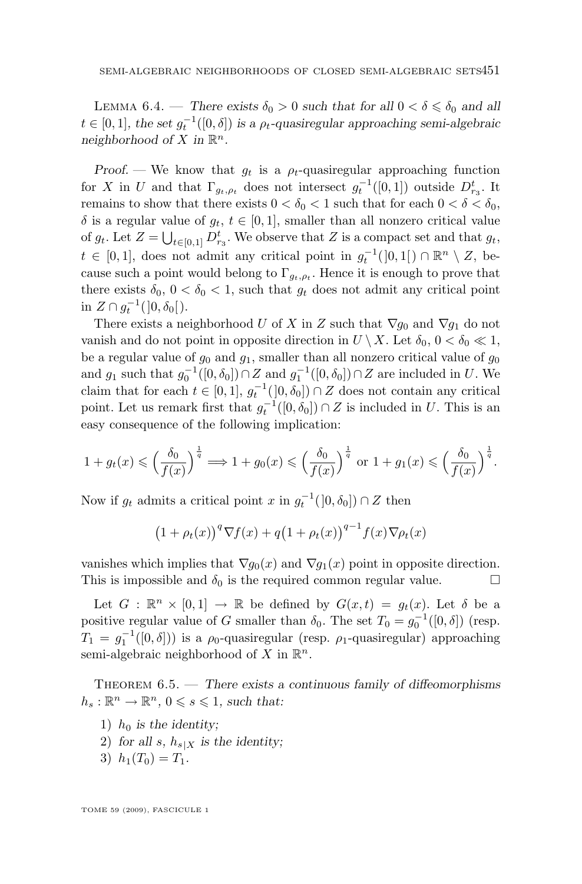<span id="page-23-0"></span>LEMMA 6.4. — *There exists*  $\delta_0 > 0$  *such that for all*  $0 < \delta \leq \delta_0$  *and all*  $t \in [0, 1]$ , the set  $g_t^{-1}([0, \delta])$  is a  $\rho_t$ -quasiregular approaching semi-algebraic neighborhood of X in  $\mathbb{R}^n$ .

*Proof.* — We know that  $q_t$  is a  $\rho_t$ -quasiregular approaching function for X in U and that  $\Gamma_{g_t,\rho_t}$  does not intersect  $g_t^{-1}([0,1])$  outside  $D_{r_3}^t$ . It remains to show that there exists  $0 < \delta_0 < 1$  such that for each  $0 < \delta < \delta_0$ , δ is a regular value of  $g_t$ ,  $t \in [0, 1]$ , smaller than all nonzero critical value of  $g_t$ . Let  $Z = \bigcup_{t \in [0,1]} D_{r_3}^t$ . We observe that Z is a compact set and that  $g_t$ ,  $t \in [0,1],$  does not admit any critical point in  $g_t^{-1}(]0,1[) \cap \mathbb{R}^n \setminus Z$ , because such a point would belong to  $\Gamma_{g_t,\rho_t}$ . Hence it is enough to prove that there exists  $\delta_0$ ,  $0 < \delta_0 < 1$ , such that  $g_t$  does not admit any critical point in  $Z \cap g_t^{-1}(]0, \delta_0[$ .

There exists a neighborhood U of X in Z such that  $\nabla g_0$  and  $\nabla g_1$  do not vanish and do not point in opposite direction in  $U \setminus X$ . Let  $\delta_0$ ,  $0 < \delta_0 \ll 1$ , be a regular value of  $g_0$  and  $g_1$ , smaller than all nonzero critical value of  $g_0$ and  $g_1$  such that  $g_0^{-1}([0, \delta_0]) \cap Z$  and  $g_1^{-1}([0, \delta_0]) \cap Z$  are included in U. We claim that for each  $t \in [0,1], g_t^{-1}(0,\delta_0]) \cap Z$  does not contain any critical point. Let us remark first that  $g_t^{-1}([0, \delta_0]) \cap Z$  is included in U. This is an easy consequence of the following implication:

$$
1 + g_t(x) \leqslant \left(\frac{\delta_0}{f(x)}\right)^{\frac{1}{q}} \Longrightarrow 1 + g_0(x) \leqslant \left(\frac{\delta_0}{f(x)}\right)^{\frac{1}{q}} \text{ or } 1 + g_1(x) \leqslant \left(\frac{\delta_0}{f(x)}\right)^{\frac{1}{q}}.
$$

Now if  $g_t$  admits a critical point x in  $g_t^{-1}([0, \delta_0]) \cap Z$  then

$$
(1+\rho_t(x))^q \nabla f(x) + q(1+\rho_t(x))^{q-1} f(x) \nabla \rho_t(x)
$$

vanishes which implies that  $\nabla g_0(x)$  and  $\nabla g_1(x)$  point in opposite direction. This is impossible and  $\delta_0$  is the required common regular value.

Let  $G: \mathbb{R}^n \times [0,1] \to \mathbb{R}$  be defined by  $G(x,t) = g_t(x)$ . Let  $\delta$  be a positive regular value of G smaller than  $\delta_0$ . The set  $T_0 = g_0^{-1}([0, \delta])$  (resp.  $T_1 = g_1^{-1}([0, \delta]))$  is a  $\rho_0$ -quasiregular (resp.  $\rho_1$ -quasiregular) approaching semi-algebraic neighborhood of X in  $\mathbb{R}^n$ .

Theorem 6.5. — *There exists a continuous family of diffeomorphisms*  $h_s: \mathbb{R}^n \to \mathbb{R}^n$ ,  $0 \leqslant s \leqslant 1$ , such that:

- 1)  $h_0$  *is the identity*;
- 2) for all s,  $h_{s|X}$  is the identity;
- 3)  $h_1(T_0) = T_1$ .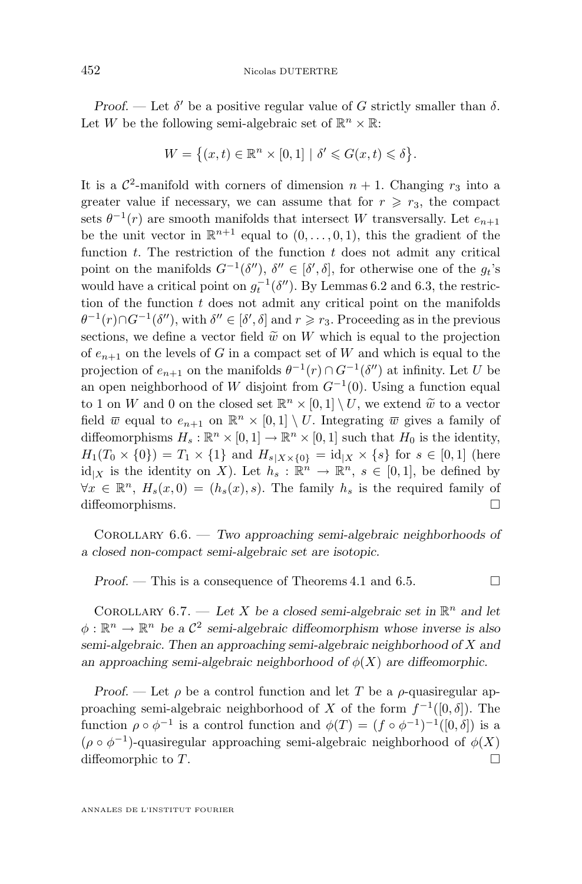<span id="page-24-0"></span>*Proof.* — Let  $\delta'$  be a positive regular value of G strictly smaller than  $\delta$ . Let W be the following semi-algebraic set of  $\mathbb{R}^n \times \mathbb{R}$ :

$$
W = \{(x, t) \in \mathbb{R}^n \times [0, 1] \mid \delta' \leq G(x, t) \leq \delta\}.
$$

It is a  $\mathcal{C}^2$ -manifold with corners of dimension  $n + 1$ . Changing  $r_3$  into a greater value if necessary, we can assume that for  $r \ge r_3$ , the compact sets  $\theta^{-1}(r)$  are smooth manifolds that intersect W transversally. Let  $e_{n+1}$ be the unit vector in  $\mathbb{R}^{n+1}$  equal to  $(0,\ldots,0,1)$ , this the gradient of the function  $t$ . The restriction of the function  $t$  does not admit any critical point on the manifolds  $G^{-1}(\delta'')$ ,  $\delta'' \in [\delta', \delta]$ , for otherwise one of the  $g_t$ 's would have a critical point on  $g_t^{-1}(\delta'')$ . By Lemmas [6.2](#page-21-0) and [6.3,](#page-22-0) the restriction of the function  $t$  does not admit any critical point on the manifolds  $\theta^{-1}(r) \cap G^{-1}(\delta'')$ , with  $\delta'' \in [\delta', \delta]$  and  $r \geq r_3$ . Proceeding as in the previous sections, we define a vector field  $\tilde{w}$  on W which is equal to the projection of  $e_{n+1}$  on the levels of G in a compact set of W and which is equal to the projection of  $e_{n+1}$  on the manifolds  $\theta^{-1}(r) \cap G^{-1}(\delta'')$  at infinity. Let U be an open neighborhood of W disjoint from  $G^{-1}(0)$ . Using a function equal to 1 on W and 0 on the closed set  $\mathbb{R}^n \times [0,1] \setminus U$ , we extend  $\tilde{w}$  to a vector field  $\overline{w}$  equal to  $e_{n+1}$  on  $\mathbb{R}^n \times [0,1] \setminus U$ . Integrating  $\overline{w}$  gives a family of diffeomorphisms  $H_s : \mathbb{R}^n \times [0,1] \to \mathbb{R}^n \times [0,1]$  such that  $H_0$  is the identity,  $H_1(T_0 \times \{0\}) = T_1 \times \{1\}$  and  $H_{s|X \times \{0\}} = id_{|X} \times \{s\}$  for  $s \in [0,1]$  (here  $\mathrm{id}_{|X}$  is the identity on X). Let  $h_s : \mathbb{R}^n \to \mathbb{R}^n$ ,  $s \in [0,1]$ , be defined by  $\forall x \in \mathbb{R}^n$ ,  $H_s(x,0) = (h_s(x), s)$ . The family  $h_s$  is the required family of diffeomorphisms.

Corollary 6.6. — *Two approaching semi-algebraic neighborhoods of a closed non-compact semi-algebraic set are isotopic.*

*Proof.* − This is a consequence of Theorems [4.1](#page-12-0) and [6.5.](#page-23-0) □

COROLLARY  $6.7.$  — Let X be a closed semi-algebraic set in  $\mathbb{R}^n$  and let  $\phi : \mathbb{R}^n \to \mathbb{R}^n$  be a  $\mathcal{C}^2$  semi-algebraic diffeomorphism whose inverse is also *semi-algebraic. Then an approaching semi-algebraic neighborhood of* X *and an approaching semi-algebraic neighborhood of*  $\phi(X)$  *are diffeomorphic.* 

*Proof.* — Let  $\rho$  be a control function and let T be a  $\rho$ -quasiregular approaching semi-algebraic neighborhood of X of the form  $f^{-1}([0, \delta])$ . The function  $\rho \circ \phi^{-1}$  is a control function and  $\phi(T) = (f \circ \phi^{-1})^{-1}([0,\delta])$  is a  $(\rho \circ \phi^{-1})$ -quasiregular approaching semi-algebraic neighborhood of  $\phi(X)$ diffeomorphic to  $T$ .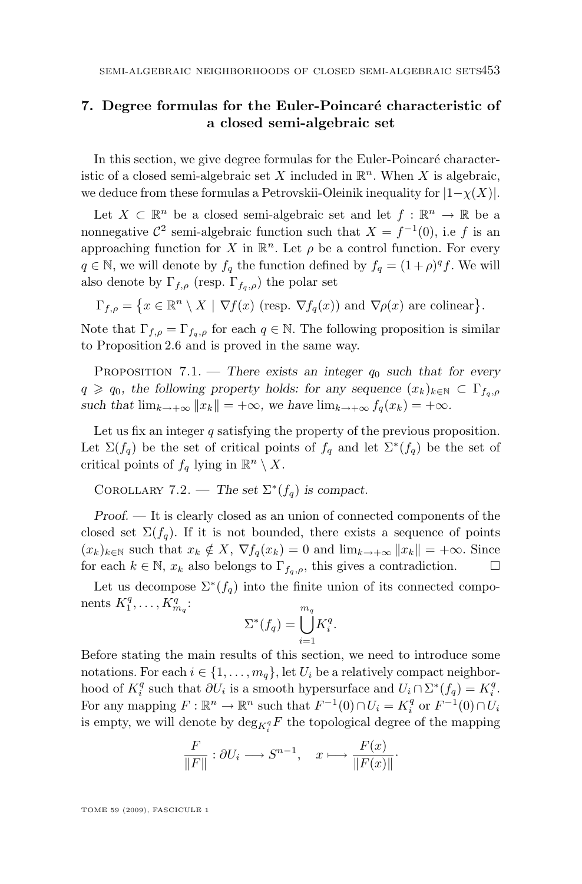#### <span id="page-25-0"></span>**7. Degree formulas for the Euler-Poincaré characteristic of a closed semi-algebraic set**

In this section, we give degree formulas for the Euler-Poincaré characteristic of a closed semi-algebraic set X included in  $\mathbb{R}^n$ . When X is algebraic, we deduce from these formulas a Petrovskii-Oleinik inequality for  $|1-\chi(X)|$ .

Let  $X \subset \mathbb{R}^n$  be a closed semi-algebraic set and let  $f : \mathbb{R}^n \to \mathbb{R}$  be a nonnegative  $\mathcal{C}^2$  semi-algebraic function such that  $X = f^{-1}(0)$ , i.e f is an approaching function for X in  $\mathbb{R}^n$ . Let  $\rho$  be a control function. For every  $q \in \mathbb{N}$ , we will denote by  $f_q$  the function defined by  $f_q = (1 + \rho)^q f$ . We will also denote by  $\Gamma_{f,\rho}$  (resp.  $\Gamma_{f_q,\rho}$ ) the polar set

$$
\Gamma_{f,\rho} = \{x \in \mathbb{R}^n \setminus X \mid \nabla f(x) \text{ (resp. } \nabla f_q(x) \text{) and } \nabla \rho(x) \text{ are colinear}\}.
$$

Note that  $\Gamma_{f,\rho} = \Gamma_{f_q,\rho}$  for each  $q \in \mathbb{N}$ . The following proposition is similar to Proposition [2.6](#page-7-0) and is proved in the same way.

PROPOSITION 7.1. — *There exists an integer*  $q_0$  *such that for every*  $q \geq q_0$ , the following property holds: for any sequence  $(x_k)_{k\in\mathbb{N}} \subset \Gamma_{f_q,p}$ *such that*  $\lim_{k\to+\infty}$   $||x_k|| = +\infty$ *, we have*  $\lim_{k\to+\infty}$   $f_q(x_k) = +\infty$ *.* 

Let us fix an integer  $q$  satisfying the property of the previous proposition. Let  $\Sigma(f_q)$  be the set of critical points of  $f_q$  and let  $\Sigma^*(f_q)$  be the set of critical points of  $f_q$  lying in  $\mathbb{R}^n \setminus X$ .

COROLLARY 7.2. — *The set*  $\Sigma^*(f_q)$  *is compact.* 

*Proof. —* It is clearly closed as an union of connected components of the closed set  $\Sigma(f_q)$ . If it is not bounded, there exists a sequence of points  $(x_k)_{k\in\mathbb{N}}$  such that  $x_k \notin X$ ,  $\nabla f_q(x_k) = 0$  and  $\lim_{k\to+\infty} ||x_k|| = +\infty$ . Since for each  $k \in \mathbb{N}$ ,  $x_k$  also belongs to  $\Gamma_{f_q,\rho}$ , this gives a contradiction.  $\Box$ 

Let us decompose  $\Sigma^*(f_q)$  into the finite union of its connected components  $K_1^q, \ldots, K_{m_q}^q$ :

$$
\Sigma^*(f_q) = \bigcup_{i=1}^{m_q} K_i^q.
$$

Before stating the main results of this section, we need to introduce some notations. For each  $i \in \{1, \ldots, m_q\}$ , let  $U_i$  be a relatively compact neighborhood of  $K_i^q$  such that  $\partial U_i$  is a smooth hypersurface and  $U_i \cap \Sigma^*(f_q) = K_i^q$ . For any mapping  $F : \mathbb{R}^n \to \mathbb{R}^n$  such that  $F^{-1}(0) \cap U_i = K_i^q$  or  $F^{-1}(0) \cap U_i$ is empty, we will denote by  $\deg_{K_i^q} F$  the topological degree of the mapping

$$
\frac{F}{\|F\|} : \partial U_i \longrightarrow S^{n-1}, \quad x \longmapsto \frac{F(x)}{\|F(x)\|}.
$$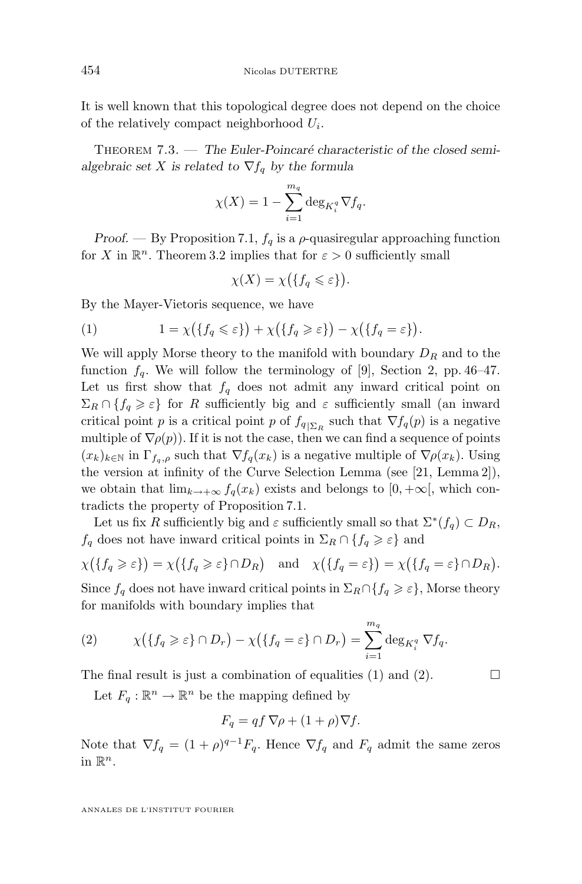<span id="page-26-0"></span>It is well known that this topological degree does not depend on the choice of the relatively compact neighborhood  $U_i$ .

Theorem 7.3. — *The Euler-Poincaré characteristic of the closed semialgebraic set* X *is related to*  $\nabla f_a$  *by the formula* 

$$
\chi(X) = 1 - \sum_{i=1}^{m_q} \deg_{K_i^q} \nabla f_q.
$$

*Proof.* — By Proposition [7.1,](#page-25-0)  $f_q$  is a  $\rho$ -quasiregular approaching function for X in  $\mathbb{R}^n$ . Theorem [3.2](#page-8-0) implies that for  $\varepsilon > 0$  sufficiently small

$$
\chi(X) = \chi\big(\{f_q \leqslant \varepsilon\}\big).
$$

By the Mayer-Vietoris sequence, we have

(1) 
$$
1 = \chi(\lbrace f_q \leq \varepsilon \rbrace) + \chi(\lbrace f_q \geq \varepsilon \rbrace) - \chi(\lbrace f_q = \varepsilon \rbrace).
$$

We will apply Morse theory to the manifold with boundary  $D_R$  and to the function  $f_q$ . We will follow the terminology of [\[9\]](#page-30-0), Section 2, pp. 46–47. Let us first show that  $f_q$  does not admit any inward critical point on  $\Sigma_R \cap \{f_q \geq \varepsilon\}$  for R sufficiently big and  $\varepsilon$  sufficiently small (an inward critical point p is a critical point p of  $f_{q|_{\sum_R}}$  such that  $\nabla f_q(p)$  is a negative multiple of  $\nabla \rho(p)$ . If it is not the case, then we can find a sequence of points  $(x_k)_{k\in\mathbb{N}}$  in  $\Gamma_{f_q,\rho}$  such that  $\nabla f_q(x_k)$  is a negative multiple of  $\nabla \rho(x_k)$ . Using the version at infinity of the Curve Selection Lemma (see [\[21,](#page-30-0) Lemma 2]), we obtain that  $\lim_{k\to+\infty} f_q(x_k)$  exists and belongs to  $[0,+\infty]$ , which contradicts the property of Proposition [7.1.](#page-25-0)

Let us fix R sufficiently big and  $\varepsilon$  sufficiently small so that  $\Sigma^*(f_q) \subset D_R$ ,  $f_q$  does not have inward critical points in  $\Sigma_R \cap \{f_q \geq \varepsilon\}$  and

$$
\chi(\lbrace f_q \geqslant \varepsilon \rbrace) = \chi(\lbrace f_q \geqslant \varepsilon \rbrace \cap D_R) \quad \text{and} \quad \chi(\lbrace f_q = \varepsilon \rbrace) = \chi(\lbrace f_q = \varepsilon \rbrace \cap D_R).
$$

Since  $f_q$  does not have inward critical points in  $\Sigma_R \cap \{f_q \geq \varepsilon\}$ , Morse theory for manifolds with boundary implies that

(2) 
$$
\chi\big(\{f_q \geqslant \varepsilon\} \cap D_r\big) - \chi\big(\{f_q = \varepsilon\} \cap D_r\big) = \sum_{i=1}^{m_q} \deg_{K_i^q} \nabla f_q.
$$

The final result is just a combination of equalities (1) and (2).  $\Box$ 

Let  $F_q : \mathbb{R}^n \to \mathbb{R}^n$  be the mapping defined by

$$
F_q = qf \nabla \rho + (1 + \rho) \nabla f.
$$

Note that  $\nabla f_q = (1+\rho)^{q-1} F_q$ . Hence  $\nabla f_q$  and  $F_q$  admit the same zeros in  $\mathbb{R}^n$ .

ANNALES DE L'INSTITUT FOURIER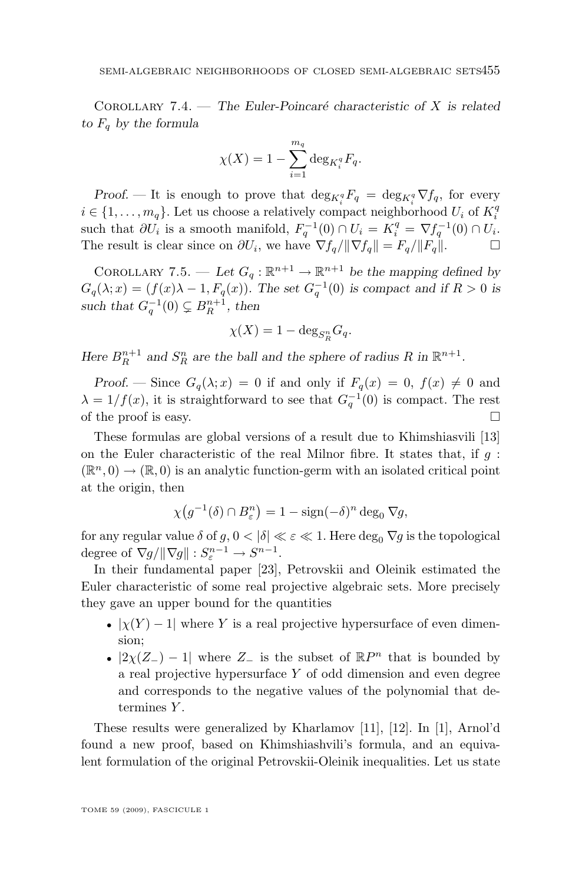<span id="page-27-0"></span>Corollary 7.4. — *The Euler-Poincaré characteristic of* X *is related*  $to F_q$  *by the formula* 

$$
\chi(X) = 1 - \sum_{i=1}^{m_q} \deg_{K_i^q} F_q.
$$

*Proof.* — It is enough to prove that  $\deg_{K_i^q} F_q = \deg_{K_i^q} \nabla f_q$ , for every  $i \in \{1, \ldots, m_q\}$ . Let us choose a relatively compact neighborhood  $U_i$  of  $K_i^q$ such that  $\partial U_i$  is a smooth manifold,  $F_q^{-1}(0) \cap U_i = K_i^q = \nabla f_q^{-1}(0) \cap U_i$ . The result is clear since on  $\partial U_i$ , we have  $\nabla f_q / ||\nabla f_q|| = F_q / ||F_q||.$ 

COROLLARY 7.5. — Let  $G_q : \mathbb{R}^{n+1} \to \mathbb{R}^{n+1}$  be the mapping defined by  $G_q(\lambda; x) = (f(x)\lambda - 1, F_q(x))$ . The set  $G_q^{-1}(0)$  is compact and if  $R > 0$  is *such that*  $G_q^{-1}(0) \subsetneq B_R^{n+1}$ , then

$$
\chi(X) = 1 - \deg_{S_R^n} G_q.
$$

Here  $B_R^{n+1}$  and  $S_R^n$  are the ball and the sphere of radius R in  $\mathbb{R}^{n+1}$ .

*Proof.* — Since  $G_q(\lambda; x) = 0$  if and only if  $F_q(x) = 0$ ,  $f(x) \neq 0$  and  $\lambda = 1/f(x)$ , it is straightforward to see that  $G_q^{-1}(0)$  is compact. The rest of the proof is easy.  $\Box$ 

These formulas are global versions of a result due to Khimshiasvili [\[13\]](#page-30-0) on the Euler characteristic of the real Milnor fibre. It states that, if  $q$ :  $(\mathbb{R}^n, 0) \to (\mathbb{R}, 0)$  is an analytic function-germ with an isolated critical point at the origin, then

$$
\chi(g^{-1}(\delta) \cap B_{\varepsilon}^n) = 1 - \operatorname{sign}(-\delta)^n \deg_0 \nabla g,
$$

for any regular value  $\delta$  of  $g, 0 < |\delta| \ll \varepsilon \ll 1$ . Here  $\deg_0 \nabla g$  is the topological degree of  $\nabla g / \| \nabla g \| : S_{\varepsilon}^{n-1} \to S^{n-1}.$ 

In their fundamental paper [\[23\]](#page-30-0), Petrovskii and Oleinik estimated the Euler characteristic of some real projective algebraic sets. More precisely they gave an upper bound for the quantities

- $|\chi(Y) 1|$  where Y is a real projective hypersurface of even dimension;
- $|2\chi(Z_{-})-1|$  where  $Z_{-}$  is the subset of  $\mathbb{R}P^{n}$  that is bounded by a real projective hypersurface Y of odd dimension and even degree and corresponds to the negative values of the polynomial that determines Y.

These results were generalized by Kharlamov [\[11\]](#page-30-0), [\[12\]](#page-30-0). In [\[1\]](#page-29-0), Arnol'd found a new proof, based on Khimshiashvili's formula, and an equivalent formulation of the original Petrovskii-Oleinik inequalities. Let us state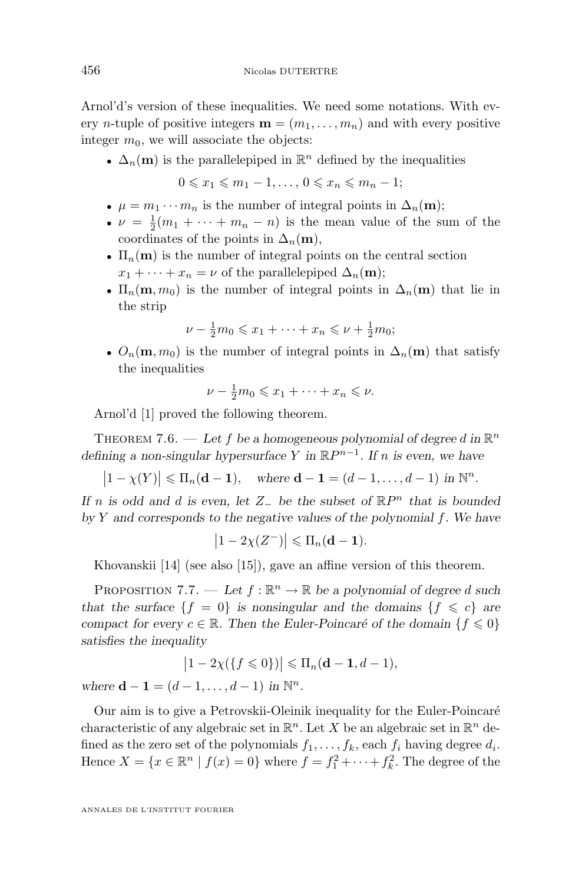Arnol'd's version of these inequalities. We need some notations. With every *n*-tuple of positive integers  $\mathbf{m} = (m_1, \ldots, m_n)$  and with every positive integer  $m_0$ , we will associate the objects:

•  $\Delta_n(\mathbf{m})$  is the parallelepiped in  $\mathbb{R}^n$  defined by the inequalities

 $0 \leq x_1 \leq m_1 - 1, \ldots, 0 \leq x_n \leq m_n - 1;$ 

- $\mu = m_1 \cdots m_n$  is the number of integral points in  $\Delta_n(\mathbf{m});$
- $\nu = \frac{1}{2}(m_1 + \cdots + m_n n)$  is the mean value of the sum of the coordinates of the points in  $\Delta_n(\mathbf{m})$ ,
- $\Pi_n(\mathbf{m})$  is the number of integral points on the central section  $x_1 + \cdots + x_n = \nu$  of the parallelepiped  $\Delta_n(\mathbf{m});$
- $\Pi_n(\mathbf{m}, m_0)$  is the number of integral points in  $\Delta_n(\mathbf{m})$  that lie in the strip

$$
\nu - \frac{1}{2}m_0 \leqslant x_1 + \dots + x_n \leqslant \nu + \frac{1}{2}m_0;
$$

•  $O_n(m, m_0)$  is the number of integral points in  $\Delta_n(m)$  that satisfy the inequalities

$$
\nu - \frac{1}{2}m_0 \leqslant x_1 + \dots + x_n \leqslant \nu.
$$

Arnol'd [\[1\]](#page-29-0) proved the following theorem.

THEOREM 7.6. — Let f be a homogeneous polynomial of degree d in  $\mathbb{R}^n$ *defining a non-singular hypersurface* Y *in*  $\mathbb{R}P^{n-1}$ *. If* n *is even, we have* 

 $|1 - \chi(Y)| \le \Pi_n(\mathbf{d} - \mathbf{1}), \text{ where } \mathbf{d} - \mathbf{1} = (d - 1, \dots, d - 1) \text{ in } \mathbb{N}^n.$ 

*If* n *is odd and* d *is even, let* Z<sup>−</sup> *be the subset of* RP <sup>n</sup> *that is bounded by* Y *and corresponds to the negative values of the polynomial* f*. We have*

$$
\left|1-2\chi(Z^-)\right|\leqslant \Pi_n(\mathbf{d}-\mathbf{1}).
$$

Khovanskii [\[14\]](#page-30-0) (see also [\[15\]](#page-30-0)), gave an affine version of this theorem.

PROPOSITION 7.7. — Let  $f : \mathbb{R}^n \to \mathbb{R}$  be a polynomial of degree d such *that the surface*  ${f = 0}$  *is nonsingular and the domains*  ${f \leq c}$  *are compact for every*  $c \in \mathbb{R}$ *. Then the Euler-Poincaré of the domain*  $\{f \leq 0\}$ *satisfies the inequality*

$$
\left|1-2\chi(\{f\leqslant 0\})\right|\leqslant \Pi_n(\mathbf{d}-\mathbf{1},d-1),
$$

*where*  $d - 1 = (d - 1, ..., d - 1)$  *in*  $\mathbb{N}^n$ *.* 

Our aim is to give a Petrovskii-Oleinik inequality for the Euler-Poincaré characteristic of any algebraic set in  $\mathbb{R}^n$ . Let X be an algebraic set in  $\mathbb{R}^n$  defined as the zero set of the polynomials  $f_1, \ldots, f_k$ , each  $f_i$  having degree  $d_i$ . Hence  $X = \{x \in \mathbb{R}^n \mid f(x) = 0\}$  where  $f = f_1^2 + \cdots + f_k^2$ . The degree of the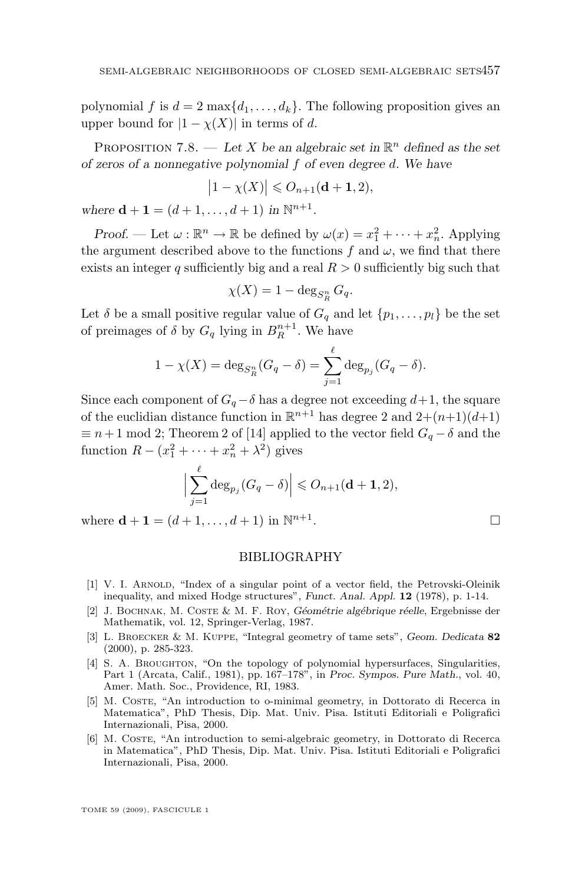<span id="page-29-0"></span>polynomial f is  $d = 2 \max\{d_1, \ldots, d_k\}$ . The following proposition gives an upper bound for  $|1 - \chi(X)|$  in terms of d.

PROPOSITION 7.8. — Let X be an algebraic set in  $\mathbb{R}^n$  defined as the set *of zeros of a nonnegative polynomial* f *of even degree* d*. We have*

$$
\left|1-\chi(X)\right|\leqslant O_{n+1}(\mathbf{d+1},2),
$$

where **d** + **1** =  $(d + 1, ..., d + 1)$  *in*  $\mathbb{N}^{n+1}$ *.* 

*Proof.* — Let  $\omega : \mathbb{R}^n \to \mathbb{R}$  be defined by  $\omega(x) = x_1^2 + \cdots + x_n^2$ . Applying the argument described above to the functions f and  $\omega$ , we find that there exists an integer q sufficiently big and a real  $R > 0$  sufficiently big such that

$$
\chi(X) = 1 - \deg_{S_R^n} G_q.
$$

Let  $\delta$  be a small positive regular value of  $G_q$  and let  $\{p_1, \ldots, p_l\}$  be the set of preimages of  $\delta$  by  $G_q$  lying in  $B_R^{n+1}$ . We have

$$
1 - \chi(X) = \deg_{S_R^n}(G_q - \delta) = \sum_{j=1}^{\ell} \deg_{p_j}(G_q - \delta).
$$

Since each component of  $G_q - \delta$  has a degree not exceeding  $d+1$ , the square of the euclidian distance function in  $\mathbb{R}^{n+1}$  has degree 2 and  $2+(n+1)(d+1)$  $\equiv n+1 \mod 2$ ; Theorem 2 of [\[14\]](#page-30-0) applied to the vector field  $G_q - \delta$  and the function  $R - (x_1^2 + \dots + x_n^2 + \lambda^2)$  gives

$$
\Big|\sum_{j=1}^{\ell} \deg_{p_j}(G_q - \delta)\Big| \leqslant O_{n+1}(\mathbf{d+1}, 2),
$$

where  $\mathbf{d} + \mathbf{1} = (d + 1, \dots, d + 1)$  in  $\mathbb{N}^{n+1}$ 

#### . В последните последните под на приема в село в село в село в село в село в село в село в село в село в село <br>Последните село в село в село в село в село в село в село в село в село в село в село в село в село в село в с

#### BIBLIOGRAPHY

- [1] V. I. ARNOLD, "Index of a singular point of a vector field, the Petrovski-Oleinik inequality, and mixed Hodge structures", *Funct. Anal. Appl.* **12** (1978), p. 1-14.
- [2] J. Bochnak, M. Coste & M. F. Roy, *Géométrie algébrique réelle*, Ergebnisse der Mathematik, vol. 12, Springer-Verlag, 1987.
- [3] L. Broecker & M. Kuppe, "Integral geometry of tame sets", *Geom. Dedicata* **82** (2000), p. 285-323.
- [4] S. A. BROUGHTON, "On the topology of polynomial hypersurfaces, Singularities, Part 1 (Arcata, Calif., 1981), pp. 167–178", in *Proc. Sympos. Pure Math.*, vol. 40, Amer. Math. Soc., Providence, RI, 1983.
- [5] M. COSTE, "An introduction to o-minimal geometry, in Dottorato di Recerca in Matematica", PhD Thesis, Dip. Mat. Univ. Pisa. Istituti Editoriali e Poligrafici Internazionali, Pisa, 2000.
- [6] M. Coste, "An introduction to semi-algebraic geometry, in Dottorato di Recerca in Matematica", PhD Thesis, Dip. Mat. Univ. Pisa. Istituti Editoriali e Poligrafici Internazionali, Pisa, 2000.